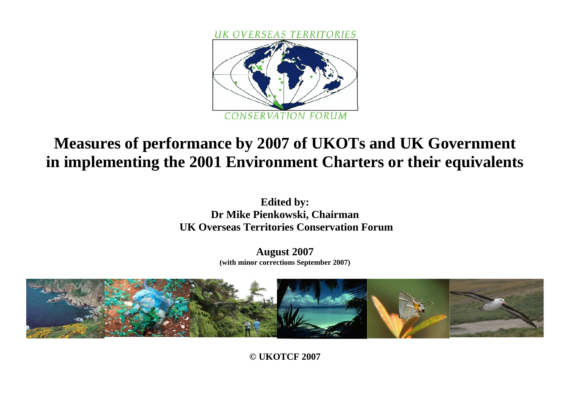

# **Measures of performance by 2007 of UKOTs and UK Government in implementing the 2001 Environment Charters or their equivalents**

**Edited by: Dr Mike Pienkowski, Chairman UK Overseas Territories Conservation Forum** 

> **August 2007 (with minor corrections September 2007)**



**© UKOTCF 2007**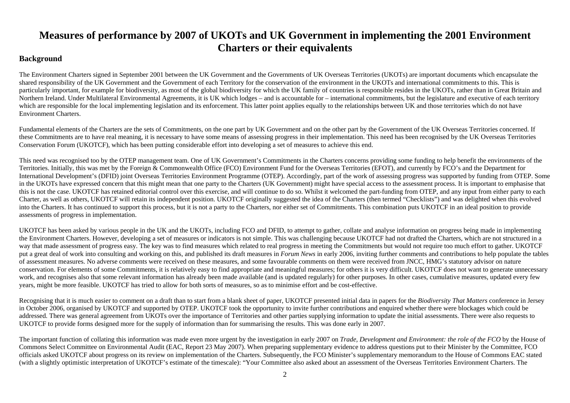# **Measures of performance by 2007 of UKOTs and UK Government in implementing the 2001 Environment Charters or their equivalents**

# **Background**

The Environment Charters signed in September 2001 between the UK Government and the Governments of UK Overseas Territories (UKOTs) are important documents which encapsulate the shared responsibility of the UK Government and the Government of each Territory for the conservation of the environment in the UKOTs and international commitments to this. This is particularly important, for example for biodiversity, as most of the global biodiversity for which the UK family of countries is responsible resides in the UKOTs, rather than in Great Britain and Northern Ireland. Under Multilateral Environmental Agreements, it is UK which lodges – and is accountable for – international commitments, but the legislature and executive of each territory which are responsible for the local implementing legislation and its enforcement. This latter point applies equally to the relationships between UK and those territories which do not have Environment Charters.

Fundamental elements of the Charters are the sets of Commitments, on the one part by UK Government and on the other part by the Government of the UK Overseas Territories concerned. If these Commitments are to have real meaning, it is necessary to have some means of assessing progress in their implementation. This need has been recognised by the UK Overseas Territories Conservation Forum (UKOTCF), which has been putting considerable effort into developing a set of measures to achieve this end.

This need was recognised too by the OTEP management team. One of UK Government's Commitments in the Charters concerns providing some funding to help benefit the environments of the Territories. Initially, this was met by the Foreign & Commonwealth Office (FCO) Environment Fund for the Overseas Territories (EFOT), and currently by FCO's and the Department for International Development's (DFID) joint Overseas Territories Environment Programme (OTEP). Accordingly, part of the work of assessing progress was supported by funding from OTEP. Some in the UKOTs have expressed concern that this might mean that one party to the Charters (UK Government) might have special access to the assessment process. It is important to emphasise that this is not the case. UKOTCF has retained editorial control over this exercise, and will continue to do so. Whilst it welcomed the part-funding from OTEP, and any input from either party to each Charter, as well as others, UKOTCF will retain its independent position. UKOTCF originally suggested the idea of the Charters (then termed "Checklists") and was delighted when this evolved into the Charters. It has continued to support this process, but it is not a party to the Charters, nor either set of Commitments. This combination puts UKOTCF in an ideal position to provide assessments of progress in implementation.

UKOTCF has been asked by various people in the UK and the UKOTs, including FCO and DFID, to attempt to gather, collate and analyse information on progress being made in implementing the Environment Charters. However, developing a set of measures or indicators is not simple. This was challenging because UKOTCF had not drafted the Charters, which are not structured in a way that made assessment of progress easy. The key was to find measures which related to real progress in meeting the Commitments but would not require too much effort to gather. UKOTCF put a great deal of work into consulting and working on this, and published its draft measures in *Forum News* in early 2006, inviting further comments and contributions to help populate the tables of assessment measures. No adverse comments were received on these measures, and some favourable comments on them were received from JNCC, HMG's statutory advisor on nature conservation. For elements of some Commitments, it is relatively easy to find appropriate and meaningful measures; for others it is very difficult. UKOTCF does not want to generate unnecessary work, and recognises also that some relevant information has already been made available (and is updated regularly) for other purposes. In other cases, cumulative measures, updated every few years, might be more feasible. UKOTCF has tried to allow for both sorts of measures, so as to minimise effort and be cost-effective.

Recognising that it is much easier to comment on a draft than to start from a blank sheet of paper, UKOTCF presented initial data in papers for the *Biodiversity That Matters* conference in Jersey in October 2006, organised by UKOTCF and supported by OTEP. UKOTCF took the opportunity to invite further contributions and enquired whether there were blockages which could be addressed. There was general agreement from UKOTs over the importance of Territories and other parties supplying information to update the initial assessments. There were also requests to UKOTCF to provide forms designed more for the supply of information than for summarising the results. This was done early in 2007.

The important function of collating this information was made even more urgent by the investigation in early 2007 on *Trade, Development and Environment: the role of the FCO* by the House of Commons Select Committee on Environmental Audit (EAC, Report 23 May 2007). When preparing supplementary evidence to address questions put to their Minister by the Committee, FCO officials asked UKOTCF about progress on its review on implementation of the Charters. Subsequently, the FCO Minister's supplementary memorandum to the House of Commons EAC stated (with a slightly optimistic interpretation of UKOTCF's estimate of the timescale): "Your Committee also asked about an assessment of the Overseas Territories Environment Charters. The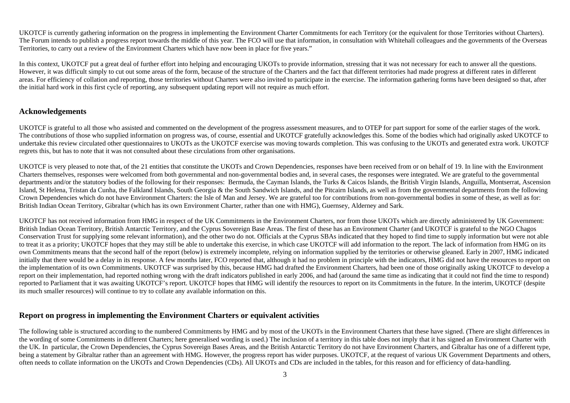UKOTCF is currently gathering information on the progress in implementing the Environment Charter Commitments for each Territory (or the equivalent for those Territories without Charters). The Forum intends to publish a progress report towards the middle of this year. The FCO will use that information, in consultation with Whitehall colleagues and the governments of the Overseas Territories, to carry out a review of the Environment Charters which have now been in place for five years."

In this context, UKOTCF put a great deal of further effort into helping and encouraging UKOTs to provide information, stressing that it was not necessary for each to answer all the questions. However, it was difficult simply to cut out some areas of the form, because of the structure of the Charters and the fact that different territories had made progress at different rates in different areas. For efficiency of collation and reporting, those territories without Charters were also invited to participate in the exercise. The information gathering forms have been designed so that, after the initial hard work in this first cycle of reporting, any subsequent updating report will not require as much effort.

## **Acknowledgements**

UKOTCF is grateful to all those who assisted and commented on the development of the progress assessment measures, and to OTEP for part support for some of the earlier stages of the work. The contributions of those who supplied information on progress was, of course, essential and UKOTCF gratefully acknowledges this. Some of the bodies which had originally asked UKOTCF to undertake this review circulated other questionnaires to UKOTs as the UKOTCF exercise was moving towards completion. This was confusing to the UKOTs and generated extra work. UKOTCF regrets this, but has to note that it was not consulted about these circulations from other organisations.

UKOTCF is very pleased to note that, of the 21 entities that constitute the UKOTs and Crown Dependencies, responses have been received from or on behalf of 19. In line with the Environment Charters themselves, responses were welcomed from both governmental and non-governmental bodies and, in several cases, the responses were integrated. We are grateful to the governmental departments and/or the statutory bodies of the following for their responses: Bermuda, the Cayman Islands, the Turks & Caicos Islands, the British Virgin Islands, Anguilla, Montserrat, Ascension Island, St Helena, Tristan da Cunha, the Falkland Islands, South Georgia & the South Sandwich Islands, and the Pitcairn Islands, as well as from the governmental departments from the following Crown Dependencies which do not have Environment Charters: the Isle of Man and Jersey. We are grateful too for contributions from non-governmental bodies in some of these, as well as for: British Indian Ocean Territory, Gibraltar (which has its own Environment Charter, rather than one with HMG), Guernsey, Alderney and Sark.

UKOTCF has not received information from HMG in respect of the UK Commitments in the Environment Charters, nor from those UKOTs which are directly administered by UK Government: British Indian Ocean Territory, British Antarctic Territory, and the Cyprus Sovereign Base Areas. The first of these has an Environment Charter (and UKOTCF is grateful to the NGO Chagos Conservation Trust for supplying some relevant information), and the other two do not. Officials at the Cyprus SBAs indicated that they hoped to find time to supply information but were not able to treat it as a priority; UKOTCF hopes that they may still be able to undertake this exercise, in which case UKOTCF will add information to the report. The lack of information from HMG on its own Commitments means that the second half of the report (below) is extremely incomplete, relying on information supplied by the territories or otherwise gleaned. Early in 2007, HMG indicated initially that there would be a delay in its response. A few months later, FCO reported that, although it had no problem in principle with the indicators, HMG did not have the resources to report on the implementation of its own Commitments. UKOTCF was surprised by this, because HMG had drafted the Environment Charters, had been one of those originally asking UKOTCF to develop a report on their implementation, had reported nothing wrong with the draft indicators published in early 2006, and had (around the same time as indicating that it could not find the time to respond) reported to Parliament that it was awaiting UKOTCF's report. UKOTCF hopes that HMG will identify the resources to report on its Commitments in the future. In the interim, UKOTCF (despite its much smaller resources) will continue to try to collate any available information on this.

# **Report on progress in implementing the Environment Charters or equivalent activities**

The following table is structured according to the numbered Commitments by HMG and by most of the UKOTs in the Environment Charters that these have signed. (There are slight differences in the wording of some Commitments in different Charters; here generalised wording is used.) The inclusion of a territory in this table does not imply that it has signed an Environment Charter with the UK. In particular, the Crown Dependencies, the Cyprus Sovereign Bases Areas, and the British Antarctic Territory do not have Environment Charters, and Gibraltar has one of a different type, being a statement by Gibraltar rather than an agreement with HMG. However, the progress report has wider purposes. UKOTCF, at the request of various UK Government Departments and others, often needs to collate information on the UKOTs and Crown Dependencies (CDs). All UKOTs and CDs are included in the tables, for this reason and for efficiency of data-handling.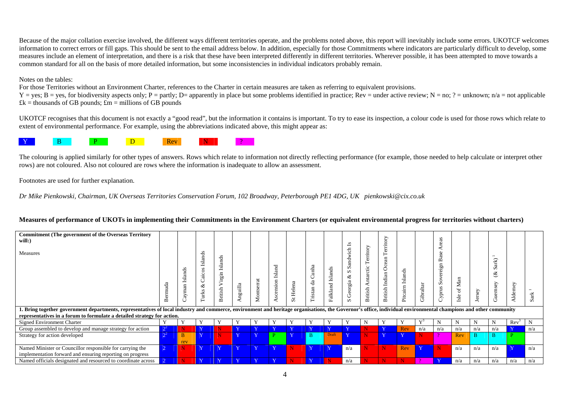Because of the major collation exercise involved, the different ways different territories operate, and the problems noted above, this report will inevitably include some errors. UKOTCF welcomes information to correct errors or fill gaps. This should be sent to the email address below. In addition, especially for those Commitments where indicators are particularly difficult to develop, some measures include an element of interpretation, and there is a risk that these have been interpreted differently in different territories. Wherever possible, it has been attempted to move towards a common standard for all on the basis of more detailed information, but some inconsistencies in individual indicators probably remain.

#### Notes on the tables:

For those Territories without an Environment Charter, references to the Charter in certain measures are taken as referring to equivalent provisions.

 $Y = yes$ ; B = yes, for biodiversity aspects only; P = partly; D = apparently in place but some problems identified in practice; Rev = under active review; N = no; ? = unknown; n/a = not applicable  $\pounds$ k = thousands of GB pounds;  $\pounds$ m = millions of GB pounds

UKOTCF recognises that this document is not exactly a "good read", but the information it contains is important. To try to ease its inspection, a colour code is used for those rows which relate to extent of environmental performance. For example, using the abbreviations indicated above, this might appear as:



The colouring is applied similarly for other types of answers. Rows which relate to information not directly reflecting performance (for example, those needed to help calculate or interpret other rows) are not coloured. Also not coloured are rows where the information is inadequate to allow an assessment.

Footnotes are used for further explanation.

*Dr Mike Pienkowski, Chairman, UK Overseas Territories Conservation Forum, 102 Broadway, Peterborough PE1 4DG, UK pienkowski@cix.co.uk* 

#### **Measures of performance of UKOTs in implementing their Commitments in the Environment Charters (or equivalent environmental progress for territories without charters)**

| <b>Commitment (The government of the Overseas Territory</b><br>will:)<br>Measures<br>. Bring together government departments, representatives of local industry and commerce, environment and heritage organisations, the Governor's office, individual environmental champions and other community | slands<br>⋍<br>man<br>$\mathbf{g}$ | Islands<br>Caicos<br>82<br><b>Turk</b> | చ<br>똅<br>Ľ<br>eia<br>.≒<br>⊳<br>British | Anguilla       | Montserrat              | ರ<br>ಡ<br>$\circ$<br>ensi | Helena<br>$\overline{\mathbf{s}}$ | Cunha<br>da<br>Tristan | Islands<br>Falkland | S<br>$\overline{\phantom{0}}$<br>Sandwich<br>S<br>ళ<br>Georgia<br>S | ritory<br>Ten<br>ctic<br>ntar<br>◀<br>British | ritory<br>බ<br>Ocean<br>Indian<br>British | S<br>land<br>$\infty$<br>∸<br>Pitcairn | Gibraltar    | S<br>$\triangle$<br>æ<br>$\mathbf{u}$<br>bí<br>'ក<br>ര<br>So<br>yprus<br>Ú | Man<br>$\sigma$<br><sub>Sle</sub><br>− | Jersey | Fk)<br>S<br>ళ<br>⋋<br>d)<br>కే | Alderney         | $\overline{\phantom{0}}$<br>Sark |
|-----------------------------------------------------------------------------------------------------------------------------------------------------------------------------------------------------------------------------------------------------------------------------------------------------|------------------------------------|----------------------------------------|------------------------------------------|----------------|-------------------------|---------------------------|-----------------------------------|------------------------|---------------------|---------------------------------------------------------------------|-----------------------------------------------|-------------------------------------------|----------------------------------------|--------------|----------------------------------------------------------------------------|----------------------------------------|--------|--------------------------------|------------------|----------------------------------|
| representatives in a forum to formulate a detailed strategy for action.                                                                                                                                                                                                                             |                                    |                                        |                                          |                |                         |                           |                                   |                        |                     |                                                                     |                                               |                                           |                                        |              |                                                                            |                                        |        |                                |                  |                                  |
| Signed Environment Charter                                                                                                                                                                                                                                                                          |                                    |                                        |                                          |                |                         |                           |                                   |                        |                     |                                                                     |                                               |                                           |                                        |              |                                                                            | N                                      |        |                                | Rev <sup>2</sup> | N                                |
| Group assembled to develop and manage strategy for action                                                                                                                                                                                                                                           |                                    | <b>KT</b>                              |                                          | Y              |                         |                           | $\overline{X}$                    | T                      | $\mathbf{x}$        |                                                                     |                                               | $\overline{\mathbf{x}}$                   | Rev                                    | n/a          | n/a                                                                        | n/a                                    | n/a    | n/a                            |                  | n/a                              |
| Strategy for action developed                                                                                                                                                                                                                                                                       | $\mathbf{B}$                       | <b>KT</b>                              | N                                        | Y              | XZ                      |                           | T                                 | <sub>B</sub>           | Draft               | V.                                                                  | N                                             | $\overline{X}$                            |                                        |              |                                                                            | Rev                                    | B      | $\overline{\mathbf{B}}$        | D.               |                                  |
|                                                                                                                                                                                                                                                                                                     | rev                                |                                        |                                          |                |                         |                           |                                   |                        |                     |                                                                     |                                               |                                           |                                        |              |                                                                            |                                        |        |                                |                  |                                  |
| Named Minister or Councillor responsible for carrying the                                                                                                                                                                                                                                           | N                                  | $\mathbf{X}$                           | Y                                        | Y              | $\overline{\mathbf{v}}$ | XZ                        | N                                 | Y                      | Y                   | n/a                                                                 | N                                             | N                                         | Rev                                    | $\mathbf{Y}$ | N.                                                                         | n/a                                    | n/a    | n/a                            |                  | n/a                              |
| implementation forward and ensuring reporting on progress                                                                                                                                                                                                                                           |                                    |                                        |                                          |                |                         |                           |                                   |                        |                     |                                                                     |                                               |                                           |                                        |              |                                                                            |                                        |        |                                |                  |                                  |
| Named officials designated and resourced to coordinate across                                                                                                                                                                                                                                       |                                    | $\mathbf{X}$                           | $\overline{X}$                           | $\overline{X}$ | $\mathbf{X}$            | $\overline{X}$            |                                   | $\overline{X}$         |                     | n/a                                                                 |                                               | N                                         |                                        | റ            | $\overline{\mathbf{Y}}$                                                    | n/a                                    | n/a    | n/a                            | n/a              | n/a                              |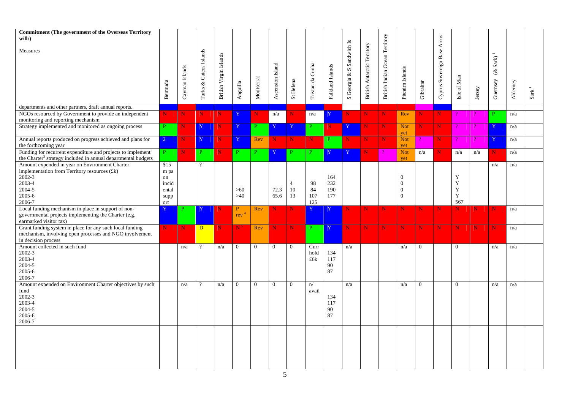| <b>Commitment (The government of the Overseas Territory</b><br>$will:$ )                                                                 |                |                |                        |                        |                         |                |                  |                |                  |                  |                           |                                    |                                |                          |              |                             |                     |        |                              |          |               |
|------------------------------------------------------------------------------------------------------------------------------------------|----------------|----------------|------------------------|------------------------|-------------------------|----------------|------------------|----------------|------------------|------------------|---------------------------|------------------------------------|--------------------------------|--------------------------|--------------|-----------------------------|---------------------|--------|------------------------------|----------|---------------|
| Measures                                                                                                                                 |                |                |                        |                        |                         |                |                  |                |                  |                  |                           |                                    |                                |                          |              |                             |                     |        |                              |          |               |
|                                                                                                                                          |                |                |                        |                        |                         |                |                  |                |                  |                  |                           |                                    |                                |                          |              |                             |                     |        | $\operatorname{Sark}$ ) $^1$ |          |               |
|                                                                                                                                          |                |                |                        |                        |                         |                |                  |                |                  |                  |                           |                                    |                                |                          |              |                             |                     |        | $\mathcal{E}$                |          |               |
|                                                                                                                                          |                |                |                        |                        |                         |                |                  |                |                  |                  |                           |                                    |                                |                          |              |                             |                     |        |                              |          |               |
|                                                                                                                                          | Bermuda        | Cayman Islands | Turks & Caicos Islands | British Virgin Islands | ${\large \bf Anguilla}$ | Montserrat     | Ascension Island | St Helena      | Tristan da Cunha | Falkland Islands | S Georgia & S Sandwich Is | <b>British Antarctic Territory</b> | British Indian Ocean Territory | Pitcairn Islands         | Gibraltar    | Cyprus Sovereign Base Areas | Isle of Man         | Jersey | Guernsey                     | Alderney | $_{\rm Sark}$ |
| departments and other partners, draft annual reports.                                                                                    |                |                |                        |                        |                         |                |                  |                |                  |                  |                           |                                    |                                |                          |              |                             |                     |        |                              |          |               |
| NGOs resourced by Government to provide an independent                                                                                   | $\mathbf N$ .  | N              | $\mathbf N$            | N.                     | Y                       | $N_{\odot}$    | n/a              | N.             | n/a              | Y                | N.                        | N                                  | N                              | Rev                      | N            | $N_{-}$                     |                     |        | P.                           | n/a      |               |
| monitoring and reporting mechanism                                                                                                       |                |                |                        |                        |                         |                |                  |                |                  |                  |                           |                                    |                                |                          |              |                             |                     |        |                              |          |               |
| Strategy implemented and monitored as ongoing process                                                                                    | P              | N              | $\mathbf{Y}$           | N                      | Y                       | P              | Y                | Y              | P                | $\mathbf N$      | $\mathbf{Y}$              | N                                  | N                              | <b>Not</b><br>yet        | N.           | $\mathbf{N}$                | $\boldsymbol{\eta}$ |        | Y                            | n/a      |               |
| Annual reports produced on progress achieved and plans for                                                                               | $\overline{2}$ | N              | $\mathbf Y$            | N                      | Y                       | Rev            | N                | N              | $\mathbf N$      | $\mathbf{P}$     | N.                        | $\mathbf N$                        | $\mathbf N$                    | <b>Not</b>               |              | N                           | $\mathcal{P}$       |        | Ÿ                            | n/a      |               |
| the forthcoming year                                                                                                                     |                |                |                        |                        | P                       |                |                  |                |                  |                  |                           |                                    |                                | vet                      |              |                             |                     |        |                              |          |               |
| Funding for recurrent expenditure and projects to implement<br>the Charter <sup>3</sup> strategy included in annual departmental budgets | P              | N              | P                      |                        |                         | P.             | Y                | P.             | P                | Y                | Y                         | N                                  |                                | <b>Not</b><br>yet        | n/a          | N                           | n/a                 | n/a    | N                            | n/a      |               |
| Amount expended in year on Environment Charter                                                                                           | \$15           |                | $\overline{?}$         |                        |                         |                |                  |                |                  |                  |                           |                                    |                                |                          |              |                             |                     |        | n/a                          | n/a      |               |
| implementation from Territory resources (£k)                                                                                             | m pa           |                |                        |                        |                         |                |                  |                |                  |                  |                           |                                    |                                |                          |              |                             |                     |        |                              |          |               |
| 2002-3                                                                                                                                   | on             |                |                        |                        |                         |                |                  |                |                  | 164              |                           |                                    |                                | $\theta$                 |              |                             | Y                   |        |                              |          |               |
| 2003-4                                                                                                                                   | incid          |                |                        |                        |                         |                |                  | 4<br>10        | 98               | 232<br>190       |                           |                                    |                                | $\Omega$<br>$\mathbf{0}$ |              |                             | $\mathbf Y$<br>Y    |        |                              |          |               |
| 2004-5<br>2005-6                                                                                                                         | ental          |                |                        |                        | $>60$<br>>40            |                | 72.3<br>65.6     | 13             | 84<br>107        | 177              |                           |                                    |                                | $\mathbf{0}$             |              |                             | $\mathbf Y$         |        |                              |          |               |
| 2006-7                                                                                                                                   | supp<br>ort    |                |                        |                        |                         |                |                  |                | 125              |                  |                           |                                    |                                |                          |              |                             | 567                 |        |                              |          |               |
| Local funding mechanism in place in support of non-                                                                                      | Y              |                | Y                      | N                      | $\mathbf{P}$            | Rev            | N                | N              | Y                | Y                | N                         | $\mathbf N$                        | $\mathbf N$                    | N                        | $\mathbf N$  | N                           | N                   | N      | N                            | n/a      |               |
| governmental projects implementing the Charter (e.g.                                                                                     |                |                |                        |                        | rev                     |                |                  |                |                  |                  |                           |                                    |                                |                          |              |                             |                     |        |                              |          |               |
| earmarked visitor tax)                                                                                                                   |                |                |                        |                        |                         |                |                  |                |                  |                  |                           |                                    |                                |                          |              |                             |                     |        |                              |          |               |
| Grant funding system in place for any such local funding                                                                                 | $N_{-}$        | $\mathbf N$    | $\mathbf{D}$           | N                      | N.                      | Rev            | N                | N              | $\mathbf{P}$     | Y                | $\mathbf N$               | $\mathbf N$                        | $\mathbf N$                    | N                        | $\mathbf N$  | N.                          | N                   | N      | $\mathbf N$                  | n/a      |               |
| mechanism, involving open processes and NGO involvement                                                                                  |                |                |                        |                        |                         |                |                  |                |                  |                  |                           |                                    |                                |                          |              |                             |                     |        |                              |          |               |
| in decision process                                                                                                                      |                |                |                        |                        |                         |                |                  |                |                  |                  |                           |                                    |                                |                          |              |                             |                     |        |                              |          |               |
| Amount collected in such fund                                                                                                            |                | n/a            | $\overline{?}$         | n/a                    | $\overline{0}$          | $\overline{0}$ | $\overline{0}$   | $\overline{0}$ | Curr             |                  | n/a                       |                                    |                                | n/a                      | $\mathbf{0}$ |                             | $\overline{0}$      |        | n/a                          | n/a      |               |
| 2002-3                                                                                                                                   |                |                |                        |                        |                         |                |                  |                | hold             | 134              |                           |                                    |                                |                          |              |                             |                     |        |                              |          |               |
| 2003-4                                                                                                                                   |                |                |                        |                        |                         |                |                  |                | £6k              | 117              |                           |                                    |                                |                          |              |                             |                     |        |                              |          |               |
| 2004-5                                                                                                                                   |                |                |                        |                        |                         |                |                  |                |                  | 90               |                           |                                    |                                |                          |              |                             |                     |        |                              |          |               |
| 2005-6                                                                                                                                   |                |                |                        |                        |                         |                |                  |                |                  | 87               |                           |                                    |                                |                          |              |                             |                     |        |                              |          |               |
| 2006-7                                                                                                                                   |                |                |                        |                        |                         |                |                  |                |                  |                  |                           |                                    |                                |                          |              |                             |                     |        |                              |          |               |
| Amount expended on Environment Charter objectives by such                                                                                |                | n/a            | $\overline{?}$         | n/a                    | $\Omega$                | $\Omega$       | $\overline{0}$   | $\overline{0}$ | n/               |                  | n/a                       |                                    |                                | n/a                      | $\Omega$     |                             | $\Omega$            |        | n/a                          | n/a      |               |
| fund<br>2002-3                                                                                                                           |                |                |                        |                        |                         |                |                  |                | avail            | 134              |                           |                                    |                                |                          |              |                             |                     |        |                              |          |               |
| 2003-4                                                                                                                                   |                |                |                        |                        |                         |                |                  |                |                  | 117              |                           |                                    |                                |                          |              |                             |                     |        |                              |          |               |
| 2004-5                                                                                                                                   |                |                |                        |                        |                         |                |                  |                |                  | 90               |                           |                                    |                                |                          |              |                             |                     |        |                              |          |               |
| $2005 - 6$                                                                                                                               |                |                |                        |                        |                         |                |                  |                |                  | 87               |                           |                                    |                                |                          |              |                             |                     |        |                              |          |               |
| 2006-7                                                                                                                                   |                |                |                        |                        |                         |                |                  |                |                  |                  |                           |                                    |                                |                          |              |                             |                     |        |                              |          |               |
|                                                                                                                                          |                |                |                        |                        |                         |                |                  |                |                  |                  |                           |                                    |                                |                          |              |                             |                     |        |                              |          |               |
|                                                                                                                                          |                |                |                        |                        |                         |                |                  |                |                  |                  |                           |                                    |                                |                          |              |                             |                     |        |                              |          |               |
|                                                                                                                                          |                |                |                        |                        |                         |                |                  |                |                  |                  |                           |                                    |                                |                          |              |                             |                     |        |                              |          |               |
|                                                                                                                                          |                |                |                        |                        |                         |                |                  |                |                  |                  |                           |                                    |                                |                          |              |                             |                     |        |                              |          |               |
|                                                                                                                                          |                |                |                        |                        |                         |                |                  |                |                  |                  |                           |                                    |                                |                          |              |                             |                     |        |                              |          |               |
|                                                                                                                                          |                |                |                        |                        |                         |                |                  |                |                  |                  |                           |                                    |                                |                          |              |                             |                     |        |                              |          |               |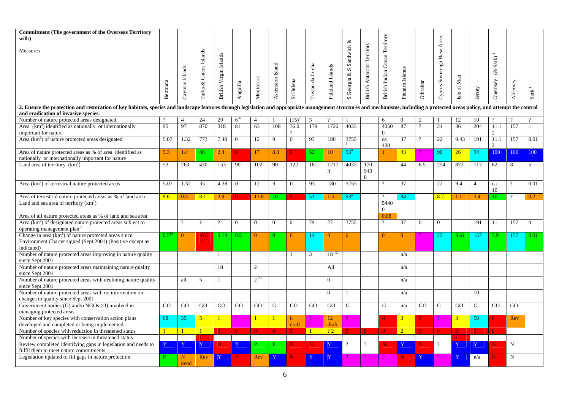| <b>Commitment (The government of the Overseas Territory</b><br>$will:$ )                                                                                                                                                                                               |           |                |                        |                        |                 |                |                  |                |                  |                  |                           |                                    |                                |                  |                | Areas                 |                |                |                           |             |                          |
|------------------------------------------------------------------------------------------------------------------------------------------------------------------------------------------------------------------------------------------------------------------------|-----------|----------------|------------------------|------------------------|-----------------|----------------|------------------|----------------|------------------|------------------|---------------------------|------------------------------------|--------------------------------|------------------|----------------|-----------------------|----------------|----------------|---------------------------|-------------|--------------------------|
| Measures                                                                                                                                                                                                                                                               |           |                |                        |                        |                 |                |                  |                |                  |                  |                           |                                    |                                |                  |                |                       |                |                | $\operatorname{Sark}$     |             |                          |
|                                                                                                                                                                                                                                                                        | Bermuda   | Cayman Islands | Turks & Caicos Islands | British Virgin Islands | Anguilla        | Montserrat     | Ascension Island | St Helena      | Tristan da Cunha | Falkland Islands | S Georgia & S Sandwich Is | <b>British Antarctic Territory</b> | British Indian Ocean Territory | Pitcairn Islands | Gibraltar      | Cyprus Sovereign Base | Isle of Man    | Jersey         | $\mathcal{E}$<br>Guernsey | Alderney    | $_{\rm Sark}$            |
| 2. Ensure the protection and restoration of key habitats, species and landscape features through legislation and appropriate management structures and mechanisms, including a protected areas policy, and attempt the control<br>and eradication of invasive species. |           |                |                        |                        |                 |                |                  |                |                  |                  |                           |                                    |                                |                  |                |                       |                |                |                           |             |                          |
| Number of nature protected areas designated                                                                                                                                                                                                                            | $\gamma$  | $\overline{4}$ | 24                     | 20                     | $6^{6}$         | 4              |                  | (15)           | 3                |                  |                           |                                    | 6                              | $\theta$         | 2              |                       | 12             | 10             | $\gamma$                  |             |                          |
| Area $(km2)$ identified as nationally or internationally<br>important for nature                                                                                                                                                                                       | 95        | 97             | 870                    | 318                    | 81              | 63             | 108              | 36.0           | 179              | 1726             | 4033                      |                                    | 4050<br>$\Omega$               | 87               | $\overline{?}$ | 24                    | 36             | 204            | 11.1<br>2                 | 157         |                          |
| Area $(km2)$ of nature protected areas designated                                                                                                                                                                                                                      | 5.07      | 1.32           | 773                    | 7.48                   | $\mathbf{0}$    | 12             | 9                | $\overline{0}$ | 93               | 180              | 3755                      |                                    | $\operatorname{ca}$<br>400     | $\overline{37}$  | $\overline{?}$ | 22                    | 9.43           | 191            | 11.1<br>$\mathcal{D}$     | 157         | 0.01                     |
| Area of nature protected areas as % of area identified as<br>nationally or internationally important for nature                                                                                                                                                        | 5.3       | 1.4            | 88                     | 2.4                    | $\vert 0 \vert$ | 17             | 8.3              | 0              | 52               | 10               | $93^{8}$                  |                                    |                                | 43               |                | 90                    | 26             | 94             | 100                       | 100         | 100                      |
| Land area of territory $(km^2)$                                                                                                                                                                                                                                        | 53        | 260            | 430                    | 153                    | 90              | 102            | 90               | 122            | 181              | 1217<br>3        | 4033                      | 170<br>940<br>$\Omega$             |                                | 44               | 6.5            | 254                   | 872            | 117            | 62                        | 8           | $\overline{\phantom{1}}$ |
| Area $(km2)$ of terrestrial nature protected areas                                                                                                                                                                                                                     | 5.07      | 1.32           | 35                     | 4.38                   | $\overline{0}$  | 12             | 9                | $\overline{0}$ | 93               | 180              | 3755                      |                                    | $\gamma$                       | 37               |                | 22                    | 9.4            | $\overline{4}$ | ca<br>10                  |             | 0.01                     |
| Area of terrestrial nature protected areas as % of land area                                                                                                                                                                                                           | 9.6       | 0.5            | 8.1                    | 2.9                    | $\Omega$        | 11.8           | 10               | $\Omega$       | 51               | 1.5              | $93^{8}$                  |                                    | $\gamma$                       | 84               |                | 8.7                   | 1.1            | 3.4            | 16                        | $\gamma$    | 0.2                      |
| Land and sea area of territory $(km^2)$                                                                                                                                                                                                                                |           |                |                        |                        |                 |                |                  |                |                  |                  |                           |                                    | 5440<br>$\overline{0}$         |                  |                |                       |                |                |                           |             |                          |
| Area of all nature protected areas as % of land and sea area                                                                                                                                                                                                           |           |                |                        |                        |                 |                |                  |                |                  |                  |                           |                                    | 0.08                           |                  |                |                       |                |                |                           |             |                          |
| Area $(km2)$ of designated nature protected areas subject to<br>operating management plan <sup>9</sup>                                                                                                                                                                 |           | $\gamma$       | $\gamma$               | $\gamma$               | $\theta$        | $\Omega$       | $\Omega$         | $\Omega$       | 79               | 27               | 3755                      |                                    | $\overline{?}$                 | 37               | $\theta$       | $\Omega$              |                | 191            | 11                        | 157         | $\Omega$                 |
| Change in area $(km2)$ of nature protected areas since<br>Environment Charter signed (Sept 2001) (Positive except as<br>indicated)                                                                                                                                     | $0.5^{1}$ | $\overline{0}$ | $-0.5$                 | 0.14                   | 0.5             | $\overline{0}$ |                  | $\overline{0}$ | 14               | $\overline{0}$   | $\Omega$                  |                                    | $\Omega$                       | $\overline{0}$   |                | 22                    | 3.61           | 157            | 3.9                       | 157         | 0.01                     |
| Number of nature protected areas improving in nature quality<br>since Sept 2001                                                                                                                                                                                        |           |                |                        | 1                      |                 |                |                  | 1              | $\mathbf{3}$     | $18^{12}$        |                           |                                    |                                | n/a              |                |                       |                |                |                           |             |                          |
| Number of nature protected areas maintaining nature quality<br>since Sept 2001                                                                                                                                                                                         |           |                |                        | 18                     |                 | 2              |                  |                |                  | All              |                           |                                    |                                | n/a              |                |                       |                |                |                           |             |                          |
| Number of nature protected areas with declining nature quality<br>since Sept 2001                                                                                                                                                                                      |           | all            | 5                      |                        |                 | $2^{23}$       |                  |                |                  | $\Omega$         |                           |                                    |                                | n/a              |                |                       |                |                |                           |             |                          |
| Number of nature protected areas with no information on<br>changes in quality since Sept 2001                                                                                                                                                                          |           |                |                        |                        |                 |                |                  |                |                  | $\Omega$         |                           |                                    |                                | n/a              |                |                       |                | 10             |                           |             |                          |
| Government bodies (G) and/o NGOs (O) involved in<br>managing protected areas                                                                                                                                                                                           | GO        | GO             | GO                     | GO                     | GO              | GO             | G                | GO             | GO               | GO               | G                         |                                    | G                              | n/a              | GO             | G                     | GO             | G              | GO                        | GO          |                          |
| Number of key species with conservation action plans<br>developed and completed or being implemented                                                                                                                                                                   | 68        | 39             | $\sqrt{5}$             |                        |                 |                |                  | 6<br>draft     |                  | 12<br>draft      |                           |                                    | $\overline{0}$                 | $\overline{3}$   | $\Omega$       |                       | 3 <sup>1</sup> | 50             |                           | Rev         |                          |
| Number of species with reduction in threatened status                                                                                                                                                                                                                  |           | $\vert$ 1      | $\overline{1}$         | $\mathbf{0}$           | $\Omega$        | $\mathbf{0}$   | $\mathbf{0}$     | $\overline{0}$ |                  | 22               | $\Omega$                  | $\overline{0}$                     | $\mathbf{0}$                   | 2 <sup>7</sup>   | $\Omega$       | $\mathbf{0}$          | $\Omega$       | $\mathbf{0}$   | $\Omega$                  |             |                          |
| Number of species with increase in threatened status                                                                                                                                                                                                                   |           |                |                        |                        |                 |                |                  |                |                  |                  |                           |                                    |                                |                  |                |                       |                |                |                           |             |                          |
| Review completed identifying gaps in legislation and needs to<br>fulfil them to meet nature commitments                                                                                                                                                                | Y         |                | $\mathbf{Y}$           | N                      |                 |                |                  | N              | N.               | Y                | $\gamma$                  | $\gamma$                           |                                | Y                |                |                       | Y              | Y              |                           | N           |                          |
| Legislation updated to fill gaps in nature protection                                                                                                                                                                                                                  | P         | N<br>pend      | Rev                    | $\mathbf{Y}$           | $\mathbf N$     | Rev            | Y                | N              | Y                | Y                |                           |                                    |                                | N.               | -Y             |                       | Y              | n/a            |                           | $\mathbf N$ |                          |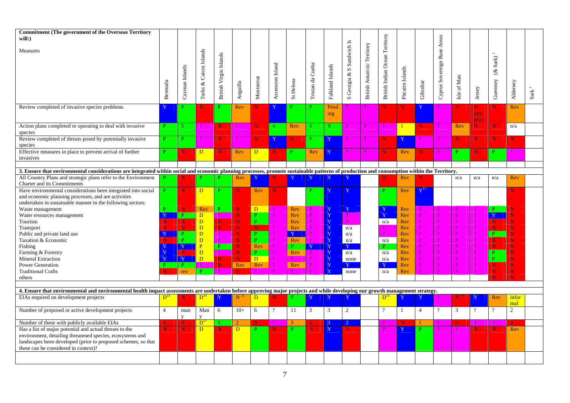| <b>Commitment (The government of the Overseas Territory</b><br>will:)                                                                                                                                                                                        |                |                |                |                        |                 |                                 |                  |                            |                  |                  | $\overline{\mathbf{S}}$     |                                    | British Indian Ocean Territory |                  |                | Areas                 |                         |                      |                |                |                      |
|--------------------------------------------------------------------------------------------------------------------------------------------------------------------------------------------------------------------------------------------------------------|----------------|----------------|----------------|------------------------|-----------------|---------------------------------|------------------|----------------------------|------------------|------------------|-----------------------------|------------------------------------|--------------------------------|------------------|----------------|-----------------------|-------------------------|----------------------|----------------|----------------|----------------------|
| Measures                                                                                                                                                                                                                                                     |                |                |                |                        |                 |                                 |                  |                            |                  |                  | S Georgia & S Sandwich      | <b>British Antarctic Territory</b> |                                |                  |                |                       |                         |                      |                |                |                      |
|                                                                                                                                                                                                                                                              |                |                | Caicos Islands | British Virgin Islands |                 |                                 |                  |                            |                  |                  |                             |                                    |                                |                  |                | Cyprus Sovereign Base |                         |                      |                |                |                      |
|                                                                                                                                                                                                                                                              |                |                |                |                        |                 |                                 |                  |                            |                  |                  |                             |                                    |                                |                  |                |                       |                         |                      | Sark           |                |                      |
|                                                                                                                                                                                                                                                              |                | Cayman Islands |                |                        |                 |                                 | Ascension Island |                            | Tristan da Cunha | Falkland Islands |                             |                                    |                                | Pitcairn Islands |                |                       |                         |                      | $\mathcal{L}$  |                |                      |
|                                                                                                                                                                                                                                                              |                |                |                |                        |                 |                                 |                  |                            |                  |                  |                             |                                    |                                |                  |                |                       | $\mathop{\mathsf{Man}}$ |                      |                |                |                      |
|                                                                                                                                                                                                                                                              | Bermuda        |                | $\infty$       |                        | Anguilla        | Montserrat                      |                  | St Helena                  |                  |                  |                             |                                    |                                |                  | Gibraltar      |                       |                         |                      | Guernsey       | Alderney       |                      |
|                                                                                                                                                                                                                                                              |                |                | Turks          |                        |                 |                                 |                  |                            |                  |                  |                             |                                    |                                |                  |                |                       | Isle of                 | Jersey               |                |                | $\mathbf{Sark}^{-1}$ |
|                                                                                                                                                                                                                                                              |                |                |                |                        |                 |                                 |                  |                            |                  |                  |                             |                                    |                                |                  |                |                       |                         |                      |                |                |                      |
| Review completed of invasive species problems                                                                                                                                                                                                                | Y              | P              | N              | P.                     | Rev             | N                               | Y                | P                          | P.               | Pend             |                             |                                    | $\mathbf N$                    | N                | Y              |                       | N                       | N                    | N              | Rev            |                      |
|                                                                                                                                                                                                                                                              |                |                |                |                        |                 |                                 |                  |                            |                  | ing              |                             |                                    |                                |                  |                |                       |                         | (not                 |                |                |                      |
|                                                                                                                                                                                                                                                              |                |                |                |                        |                 |                                 |                  |                            |                  |                  |                             |                                    |                                |                  |                |                       |                         | prio)                |                |                |                      |
| Action plans completed or operating to deal with invasive                                                                                                                                                                                                    | P.             | 5              |                | $\mathbf N$            |                 | N                               | $\overline{4}$   | Rev                        |                  | Y                |                             |                                    | $\mathcal{P}$                  | $\mathbf{1}$     | N              |                       | Rev                     | N.                   | N              | n/a            |                      |
| species                                                                                                                                                                                                                                                      |                |                |                |                        |                 |                                 |                  |                            |                  |                  |                             |                                    |                                |                  |                |                       |                         |                      |                |                |                      |
| Review completed of threats posed by potentially invasive                                                                                                                                                                                                    | P.             | P              | $\mathcal{P}$  | N.                     | $\mathcal{P}$   | N                               | Y                | N                          | P.               | Y                |                             |                                    | N                              | $\mathbf{Y}$     |                |                       | N                       | N                    | N              | N              |                      |
| species                                                                                                                                                                                                                                                      |                |                |                |                        |                 |                                 |                  |                            |                  |                  |                             |                                    |                                |                  |                |                       |                         |                      |                |                |                      |
| Effective measures in place to prevent arrival of further                                                                                                                                                                                                    | P              | N              | D              | N                      | Rev             | D.                              | N.               | P                          | Rev              | Y                |                             | $\mathcal{P}$                      | $\mathbf N$                    | Rev              | N.             |                       | P                       | N                    | P              | 9              |                      |
| invasives                                                                                                                                                                                                                                                    |                |                |                |                        |                 |                                 |                  |                            |                  |                  |                             |                                    |                                |                  |                |                       |                         |                      |                |                |                      |
|                                                                                                                                                                                                                                                              |                |                |                |                        |                 |                                 |                  |                            |                  |                  |                             |                                    |                                |                  |                |                       |                         |                      |                |                |                      |
| 3. Ensure that environmental considerations are integrated within social and economic planning processes, promote sustainable patterns of production and consumption within the Territory.<br>All Country Plans and strategic plans refer to the Environment |                |                |                |                        |                 |                                 |                  |                            |                  |                  |                             |                                    |                                |                  |                |                       |                         |                      |                |                |                      |
| <b>Charter and its Commitments</b>                                                                                                                                                                                                                           |                |                |                |                        | Rev             |                                 |                  |                            |                  |                  |                             |                                    |                                | Rev              |                |                       | n/a                     | n/a                  | n/a            | Rev            |                      |
| Have environmental considerations been integrated into social                                                                                                                                                                                                | P.             |                | D              |                        | N               | Rev                             | N                |                            |                  |                  | Y                           |                                    | P                              | Rev              | $Y^{13}$       |                       |                         |                      |                | N              |                      |
| and economic planning processes, and are activities                                                                                                                                                                                                          |                |                |                |                        |                 |                                 |                  |                            |                  |                  |                             |                                    |                                |                  |                |                       |                         |                      |                |                |                      |
| undertaken in sustainable manner in the following sectors:                                                                                                                                                                                                   |                |                |                |                        |                 |                                 |                  |                            |                  |                  |                             |                                    |                                |                  |                |                       |                         |                      |                |                |                      |
| Waste management                                                                                                                                                                                                                                             | Þ              |                | Rev            | P                      | N               | D.                              |                  | Rev                        |                  | Y                | Y                           |                                    |                                | Rev              |                |                       |                         |                      |                | N              |                      |
| Water resources management                                                                                                                                                                                                                                   |                | D              | $\overline{D}$ |                        | Ñ               | P                               |                  | Rev                        |                  | Y                | $\mathcal{D}$               |                                    | Y                              | Rev              |                | ő                     |                         | $\Omega$             | $\overline{Y}$ | N              |                      |
| Tourism                                                                                                                                                                                                                                                      | N              | N              | $\overline{D}$ | N.                     | N               | $\overline{P}$                  |                  | Rev                        |                  | Y                | $\mathcal{P}$               |                                    | n/a                            | Rev              |                | 9                     |                         | $\gamma$             | N              | N              |                      |
| Transport                                                                                                                                                                                                                                                    |                | N              | D              | N.                     | N               | $\overline{\mathbf{N}}$         |                  | Rev                        |                  | Y                | n/a                         |                                    |                                | Rev              |                | ő                     |                         | $\overline{2}$       | N              | N              |                      |
| Public and private land use                                                                                                                                                                                                                                  |                |                | D              |                        | N               | P.                              |                  | $\mathbf{Y}$               |                  | $\mathbf{Y}$     | n/a                         |                                    |                                | Rev              |                | 9                     |                         | $\mathcal{P}$        | P.             | Ń              |                      |
| Taxation & Economic                                                                                                                                                                                                                                          |                |                | D              |                        | N               | $\frac{P}{P}$                   |                  | Rev                        |                  | Y                | n/a                         |                                    | n/a                            | Rev              |                |                       |                         | $\Omega$             | N              | N              |                      |
| Fishing                                                                                                                                                                                                                                                      | $\mathbf{v}$   | $\overline{Y}$ | P              |                        | N               | Rev<br>P                        |                  | P.                         | Y                | $\bar{Y}$        | Y                           |                                    | <b>p</b>                       | Rev              |                |                       |                         | $\Omega$             | N              | N              |                      |
| Farming & Forestry                                                                                                                                                                                                                                           |                |                | D              |                        | Ñ               |                                 |                  | Rev                        |                  | Y                | n/a                         |                                    | n/a                            | Rev              |                |                       |                         | $\gamma$             | P              | N              |                      |
| <b>Mineral Extraction</b>                                                                                                                                                                                                                                    |                | $\mathbf{v}$   | D              | ${\bf N}$              | N               | D.                              |                  |                            |                  | $\bar{Y}$        | none                        |                                    | n/a                            | Rev              |                | ő<br>9                |                         | $\Omega$<br>$\gamma$ | <b>p</b>       | Ñ              |                      |
| <b>Power Generation</b>                                                                                                                                                                                                                                      |                |                | P.             | N.<br>$\mathcal{P}$    | Rev<br>N        | Rev<br>$\overline{\mathcal{P}}$ |                  | Rev<br>$\boldsymbol{\eta}$ |                  | $\mathbf Y$<br>Y | $\mathbf{Y}$                |                                    | Y                              | Rev              |                |                       |                         |                      | N<br>N         | N<br>N         |                      |
| <b>Traditional Crafts</b><br>others                                                                                                                                                                                                                          |                | rev            |                |                        |                 |                                 |                  |                            |                  |                  | none                        |                                    | n/a                            | Rev              |                |                       |                         |                      |                | Ñ              |                      |
|                                                                                                                                                                                                                                                              |                |                |                |                        |                 |                                 |                  |                            |                  |                  |                             |                                    |                                |                  |                |                       |                         |                      |                |                |                      |
| 4. Ensure that environmental and environmental health impact assessments are undertaken before approving major projects and while developing our growth management strategy.                                                                                 |                |                |                |                        |                 |                                 |                  |                            |                  |                  |                             |                                    |                                |                  |                |                       |                         |                      |                |                |                      |
| EIAs required on development projects                                                                                                                                                                                                                        | $D^{14}$       |                | $D^{14}$       |                        | N <sup>12</sup> | D                               | N                | P                          |                  |                  |                             |                                    | $D^{14}$                       | $\Delta$         |                |                       | Ν                       |                      | Rev            | infor          |                      |
|                                                                                                                                                                                                                                                              |                |                |                |                        |                 |                                 |                  |                            |                  |                  |                             |                                    |                                |                  |                |                       |                         |                      |                | mal            |                      |
| Number of proposed or active development projects                                                                                                                                                                                                            | $\overline{4}$ | man            | Man            | 6                      | $10+$           | 6                               | $\gamma$         | 11                         | $\mathbf{3}$     | 3                | 2                           |                                    | $\overline{\mathcal{L}}$       | -1               | $\overline{4}$ | $\overline{?}$        | 3                       | $\overline{?}$       | $\gamma$       | $\overline{2}$ |                      |
|                                                                                                                                                                                                                                                              |                | $\mathbf{V}$   | y              |                        |                 |                                 |                  |                            |                  |                  |                             |                                    |                                |                  |                |                       |                         |                      |                |                |                      |
| Number of these with publicly available EIAs                                                                                                                                                                                                                 | $\Omega$       | $\Omega$       | $D^{\Gamma}$   |                        | $\mathcal{D}$   | $\Omega$                        |                  | $\mathbf{3}$               | 0                | $\mathcal{R}$    | $\mathcal{D}_{\mathcal{L}}$ |                                    |                                | N                |                |                       | $\Omega$                |                      |                | $\Omega$       |                      |
| Has a list of major potential and actual threats to the                                                                                                                                                                                                      | N              | N              | D              | N                      | $\overline{D}$  | P.                              | N                |                            | Ν                | Y                | N                           |                                    |                                |                  |                |                       |                         | N                    | N              | Rev            |                      |
| environment, detailing threatened species, ecosystems and                                                                                                                                                                                                    |                |                |                |                        |                 |                                 |                  |                            |                  |                  |                             |                                    |                                |                  |                |                       |                         |                      |                |                |                      |
| landscapes been developed (prior to proposed schemes, so that                                                                                                                                                                                                |                |                |                |                        |                 |                                 |                  |                            |                  |                  |                             |                                    |                                |                  |                |                       |                         |                      |                |                |                      |
| these can be considered in context)?                                                                                                                                                                                                                         |                |                |                |                        |                 |                                 |                  |                            |                  |                  |                             |                                    |                                |                  |                |                       |                         |                      |                |                |                      |
|                                                                                                                                                                                                                                                              |                |                |                |                        |                 |                                 |                  |                            |                  |                  |                             |                                    |                                |                  |                |                       |                         |                      |                |                |                      |
|                                                                                                                                                                                                                                                              |                |                |                |                        |                 |                                 |                  |                            |                  |                  |                             |                                    |                                |                  |                |                       |                         |                      |                |                |                      |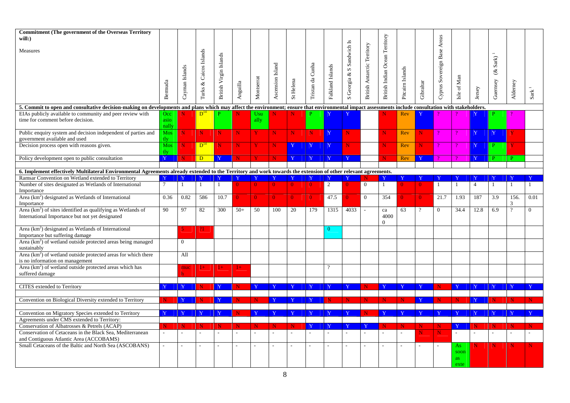| <b>Commitment (The government of the Overseas Territory</b><br>$will:$ )                                                                                                                                            |                      |                    |                  |                        |             |                    |                  |                         |                  |                  |                           |                                    |                                |                  |              | Areas                 |              |                |                       |              |                      |
|---------------------------------------------------------------------------------------------------------------------------------------------------------------------------------------------------------------------|----------------------|--------------------|------------------|------------------------|-------------|--------------------|------------------|-------------------------|------------------|------------------|---------------------------|------------------------------------|--------------------------------|------------------|--------------|-----------------------|--------------|----------------|-----------------------|--------------|----------------------|
| Measures                                                                                                                                                                                                            |                      |                    |                  |                        |             |                    |                  |                         |                  |                  | S Georgia & S Sandwich Is | <b>British Antarctic Territory</b> | British Indian Ocean Territory |                  |              |                       |              |                |                       |              |                      |
|                                                                                                                                                                                                                     |                      |                    | & Caicos Islands |                        |             |                    |                  |                         |                  |                  |                           |                                    |                                |                  |              |                       |              |                | Sark<br>$\mathcal{E}$ |              |                      |
|                                                                                                                                                                                                                     |                      | Cayman Islands     |                  | British Virgin Islands |             |                    | Ascension Island |                         | Tristan da Cunha | Falkland Islands |                           |                                    |                                | Pitcairn Islands |              | Cyprus Sovereign Base | Isle of Man  |                |                       |              |                      |
|                                                                                                                                                                                                                     | Bermuda              |                    | Turks            |                        | Anguilla    | Montserrat         |                  | St Helena               |                  |                  |                           |                                    |                                |                  | Gibraltar    |                       |              | Jersey         | Guernsey              | Alderney     | $\mathbf{Sark}^{-1}$ |
| 5. Commit to open and consultative decision-making on developments and plans which may affect the environment; ensure that environmental impact assessments include consultation with stakeholders.                 |                      |                    |                  |                        |             |                    |                  |                         |                  |                  |                           |                                    |                                |                  |              |                       |              |                |                       |              |                      |
| EIAs publicly available to community and peer review with<br>time for comment before decision.                                                                                                                      | Occ<br>asio<br>nally |                    | $D^{14}$         |                        |             | <b>Usu</b><br>ally |                  |                         |                  |                  |                           |                                    |                                | Rev              |              |                       |              |                |                       |              |                      |
| Public enquiry system and decision independent of parties and<br>government available and used                                                                                                                      | <b>Mos</b><br>tly    | N                  | N                | N.                     | N           | $\mathbf{Y}$       | N                | $\mathbf N$             | N                | $\mathbf{Y}$     | N.                        |                                    | N                              | Rev              | N            |                       |              | Y              |                       |              |                      |
| Decision process open with reasons given.                                                                                                                                                                           | Mos<br>tly           | N                  | $D^{14}$         | N.                     | $\mathbf N$ | Y                  | N                | Y                       |                  | Y                | N.                        |                                    | N.                             | Rev              | $\mathbf N$  |                       |              | Y              |                       | Y            |                      |
| Policy development open to public consultation                                                                                                                                                                      | $\overline{Y}$       | N                  | $\overline{D}$   |                        |             |                    | N                | Y                       | Y                | Y                | $\mathbf{Y}$              |                                    | N.                             | Rev              | $\mathbf{Y}$ |                       | $\Omega$     | Y              | P.                    | P            |                      |
|                                                                                                                                                                                                                     |                      |                    |                  |                        |             |                    |                  |                         |                  |                  |                           |                                    |                                |                  |              |                       |              |                |                       |              |                      |
| 6. Implement effectively Multilateral Environmental Agreements already extended to the Territory and work towards the extension of other relevant agreements.<br>Ramsar Convention on Wetland extended to Territory |                      | $\mathbf{\bar{Y}}$ |                  |                        |             |                    |                  | -Y                      |                  | Y                |                           |                                    | Y                              |                  |              |                       |              |                |                       |              |                      |
| Number of sites designated as Wetlands of International                                                                                                                                                             | $7\phantom{.0}$      | $\mathbf{1}$       | $\mathbf{1}$     | -1                     | $\Omega$    | $\overline{0}$     | $\Omega$         | $\overline{0}$          | $\overline{0}$   | 2                |                           | $\overline{0}$                     | $\mathbf{1}$                   |                  | $\Omega$     | $\mathbf{1}$          | -1           | $\overline{4}$ | $\overline{1}$        | $\mathbf{1}$ | $\mathbf{1}$         |
| Importance<br>Area $(km2)$ designated as Wetlands of International                                                                                                                                                  | 0.36                 | 0.82               | 586              | 10.7                   | $\Omega$    | $\mathbf{0}$       | $\vert 0 \vert$  | $\overline{0}$          | $\mathbf{0}$     | 47.5             |                           | $\overline{0}$                     | 354                            |                  |              | 21.7                  | 1.93         | 187            | 3.9                   | 156.<br>3    | 0.01                 |
| Importance<br>Area $(km2)$ of sites identified as qualifying as Wetlands of                                                                                                                                         | 90                   | 97                 | 82               | 300                    | $50+$       | 50                 | 100              | 20                      | 179              | 1315             | 4033                      |                                    | ${\rm c}a$                     | 63               | $\gamma$     | $\Omega$              | 34.4         | 12.8           | 6.9                   | $\gamma$     | $\Omega$             |
| International Importance but not yet designated                                                                                                                                                                     |                      |                    |                  |                        |             |                    |                  |                         |                  |                  |                           |                                    | 4000<br>$\Omega$               |                  |              |                       |              |                |                       |              |                      |
| Area $(km2)$ designated as Wetlands of International<br>Importance but suffering damage                                                                                                                             |                      |                    | 21.              |                        |             |                    |                  |                         |                  | $\theta$         |                           |                                    |                                |                  |              |                       |              |                |                       |              |                      |
| Area $(km2)$ of wetland outside protected areas being managed<br>sustainably                                                                                                                                        |                      | $\Omega$           |                  |                        |             |                    |                  |                         |                  |                  |                           |                                    |                                |                  |              |                       |              |                |                       |              |                      |
| Area $(km2)$ of wetland outside protected areas for which there<br>is no information on management                                                                                                                  |                      | All                |                  |                        |             |                    |                  |                         |                  |                  |                           |                                    |                                |                  |              |                       |              |                |                       |              |                      |
| Area $(km2)$ of wetland outside protected areas which has<br>suffered damage                                                                                                                                        |                      | muc                | $1+$             | $1+$                   | $1+$        |                    |                  |                         |                  | $\gamma$         |                           |                                    |                                |                  |              |                       |              |                |                       |              |                      |
|                                                                                                                                                                                                                     |                      |                    |                  |                        |             |                    |                  |                         |                  |                  |                           |                                    |                                |                  |              |                       |              |                |                       |              |                      |
| CITES extended to Territory                                                                                                                                                                                         |                      |                    |                  |                        |             |                    |                  |                         |                  |                  |                           |                                    | Y                              |                  |              |                       |              |                |                       |              |                      |
| Convention on Biological Diversity extended to Territory                                                                                                                                                            |                      | $\mathbf{v}$       |                  |                        |             | N                  |                  | $\mathbf{\overline{Y}}$ |                  |                  | N.                        | $\mathbf N$                        | N.                             | N                | $\mathbf{Y}$ |                       | N            | $\overline{Y}$ |                       |              |                      |
| Convention on Migratory Species extended to Territory                                                                                                                                                               |                      | $\mathbf{v}$       |                  | $\mathbf{V}$           | N           |                    |                  | Y                       |                  | Y                |                           | N                                  | Y                              |                  |              |                       | Y            | Y              |                       |              |                      |
| Agreements under CMS extended to Territory:                                                                                                                                                                         |                      |                    |                  |                        |             |                    |                  |                         |                  |                  |                           |                                    |                                |                  |              |                       |              |                |                       |              |                      |
| Conservation of Albatrosses & Petrels (ACAP)                                                                                                                                                                        | N                    | N                  | N                | N                      | N           | N                  | N                | N                       |                  | $\mathbf{Y}$     |                           | - Y                                | N                              | N                | N            | N                     | $\mathbf{Y}$ | N              |                       |              |                      |
| Conservation of Cetaceans in the Black Sea, Mediterranean<br>and Contiguous Atlantic Area (ACCOBAMS)                                                                                                                |                      |                    |                  |                        |             |                    |                  |                         |                  |                  |                           |                                    |                                |                  |              |                       |              |                |                       |              |                      |
| Small Cetaceans of the Baltic and North Sea (ASCOBANS)                                                                                                                                                              |                      |                    |                  | $\overline{a}$         |             |                    |                  | $\sim$                  |                  |                  |                           |                                    | $\sim$                         |                  |              |                       | As<br>soon   |                |                       |              |                      |
|                                                                                                                                                                                                                     |                      |                    |                  |                        |             |                    |                  |                         |                  |                  |                           |                                    |                                |                  |              |                       | as           |                |                       |              |                      |
|                                                                                                                                                                                                                     |                      |                    |                  |                        |             |                    |                  |                         |                  |                  |                           |                                    |                                |                  |              |                       | exte         |                |                       |              |                      |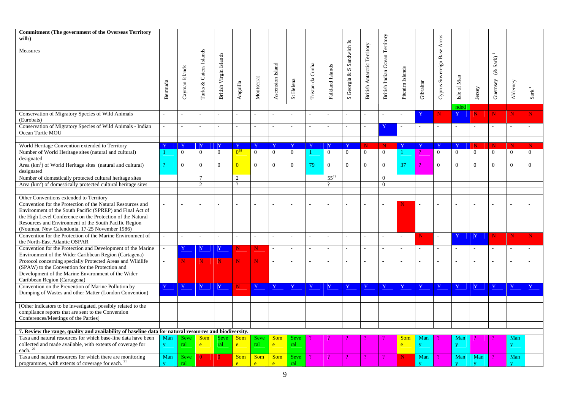| <b>Commitment (The government of the Overseas Territory</b>                                                         |              |                |                  |                        |                    |                |                             |                |                  |                          |                           |                                    |                                |                    |                         |                             |                         |                |               |                |                |
|---------------------------------------------------------------------------------------------------------------------|--------------|----------------|------------------|------------------------|--------------------|----------------|-----------------------------|----------------|------------------|--------------------------|---------------------------|------------------------------------|--------------------------------|--------------------|-------------------------|-----------------------------|-------------------------|----------------|---------------|----------------|----------------|
| will:)                                                                                                              |              |                |                  |                        |                    |                |                             |                |                  |                          |                           |                                    |                                |                    |                         |                             |                         |                |               |                |                |
| Measures                                                                                                            |              |                | & Caicos Islands |                        |                    |                |                             |                |                  |                          | S Georgia & S Sandwich Is | <b>British Antarctic Territory</b> | British Indian Ocean Territory |                    |                         | Cyprus Sovereign Base Areas |                         |                |               |                |                |
|                                                                                                                     |              |                |                  | British Virgin Islands |                    |                |                             |                |                  |                          |                           |                                    |                                |                    |                         |                             |                         |                | Sark)         |                |                |
|                                                                                                                     |              | Cayman Islands |                  |                        |                    |                | Ascension Island            |                | Tristan da Cunha | Falkland Islands         |                           |                                    |                                | Pitcairn Islands   |                         |                             |                         |                | $\mathscr{E}$ |                |                |
|                                                                                                                     |              |                |                  |                        |                    |                |                             |                |                  |                          |                           |                                    |                                |                    |                         |                             |                         |                |               |                |                |
|                                                                                                                     |              |                |                  |                        |                    |                |                             |                |                  |                          |                           |                                    |                                |                    |                         |                             |                         |                |               |                |                |
|                                                                                                                     | Bermuda      |                | Turks            |                        | Anguilla           | Montserrat     |                             | St Helena      |                  |                          |                           |                                    |                                |                    | Gibraltar               |                             | Isle of Man             | Jersey         | Guernsey      | Alderney       | Sark           |
|                                                                                                                     |              |                |                  |                        |                    |                |                             |                |                  |                          |                           |                                    |                                |                    |                         |                             |                         |                |               |                |                |
|                                                                                                                     |              |                |                  |                        |                    |                |                             |                |                  |                          |                           |                                    |                                |                    |                         |                             | nded                    |                |               |                |                |
| Conservation of Migratory Species of Wild Animals                                                                   |              |                |                  |                        |                    |                |                             |                |                  |                          |                           |                                    |                                |                    |                         | N                           | Y                       | Ñ              | N             | $\mathbf N$    |                |
| (Eurobats)                                                                                                          |              |                |                  |                        |                    |                |                             |                |                  |                          |                           |                                    |                                |                    |                         |                             |                         |                |               |                |                |
| Conservation of Migratory Species of Wild Animals - Indian                                                          | $\mathbf{r}$ |                |                  |                        | $\sim$             |                |                             |                |                  | $\overline{a}$           |                           |                                    | Y                              |                    | $\sim$                  |                             |                         | ÷.             |               | ÷              |                |
| Ocean Turtle MOU                                                                                                    |              |                |                  |                        |                    |                |                             |                |                  |                          |                           |                                    |                                |                    |                         |                             |                         |                |               |                |                |
| World Heritage Convention extended to Territory                                                                     |              |                | $\mathbf{Y}$     |                        | $\mathbf{\bar{Y}}$ |                | $\mathbf Y$                 | Y              |                  | $\mathbf Y$              |                           | N                                  | $\mathbf N$                    | $\mathbf{\bar{Y}}$ | $\mathbf{Y}$            |                             | $\mathbf{Y}$            | N              | N             | $\mathbf N$    | N              |
| Number of World Heritage sites (natural and cultural)                                                               |              | $\mathbf{0}$   | $\mathbf{0}$     | $\overline{0}$         | $0^{18}$           | $\overline{0}$ | $\overline{0}$              | $\overline{0}$ |                  | $\overline{0}$           | $\overline{0}$            | $\overline{0}$                     | $\overline{0}$                 |                    |                         | $\overline{0}$              | $\overline{0}$          | $\overline{0}$ | $\mathbf{0}$  | $\overline{0}$ | $\overline{0}$ |
| designated                                                                                                          |              |                |                  |                        |                    |                |                             |                |                  |                          |                           |                                    |                                |                    |                         |                             |                         |                |               |                |                |
| Area (km <sup>2</sup> ) of World Heritage sites (natural and cultural)                                              |              | $\theta$       | $\overline{0}$   | $\Omega$               | $\overline{0}$     | $\overline{0}$ | $\overline{0}$              | $\mathbf{0}$   | 79.              | $\overline{0}$           | $\Omega$                  | $\overline{0}$                     | $\overline{0}$                 | 37                 |                         | $\overline{0}$              | $\overline{0}$          | $\overline{0}$ | $\mathbf{0}$  | $\overline{0}$ | $\overline{0}$ |
| designated                                                                                                          |              |                |                  |                        |                    |                |                             |                |                  |                          |                           |                                    |                                |                    |                         |                             |                         |                |               |                |                |
| Number of domestically protected cultural heritage sites                                                            |              |                | $\overline{7}$   |                        | 2                  |                |                             |                |                  | $55^{19}$                |                           |                                    | $\overline{0}$                 |                    |                         |                             |                         |                |               |                |                |
| Area $(km2)$ of domestically protected cultural heritage sites                                                      |              |                | 2                |                        | $\mathcal{D}$      |                |                             |                |                  | $\gamma$                 |                           |                                    | $\overline{0}$                 |                    |                         |                             |                         |                |               |                |                |
|                                                                                                                     |              |                |                  |                        |                    |                |                             |                |                  |                          |                           |                                    |                                |                    |                         |                             |                         |                |               |                |                |
| Other Conventions extended to Territory<br>Convention for the Protection of the Natural Resources and               |              |                |                  |                        |                    |                |                             |                |                  |                          |                           |                                    |                                |                    |                         |                             |                         |                |               |                |                |
| Environment of the South Pacific (SPREP) and Final Act of                                                           |              |                |                  |                        |                    |                |                             |                |                  |                          |                           |                                    |                                |                    |                         |                             |                         |                |               |                |                |
| the High Level Conference on the Protection of the Natural                                                          |              |                |                  |                        |                    |                |                             |                |                  |                          |                           |                                    |                                |                    |                         |                             |                         |                |               |                |                |
| Resources and Environment of the South Pacific Region                                                               |              |                |                  |                        |                    |                |                             |                |                  |                          |                           |                                    |                                |                    |                         |                             |                         |                |               |                |                |
| (Noumea, New Calendonia, 17-25 November 1986)                                                                       |              |                |                  |                        |                    |                |                             |                |                  |                          |                           |                                    |                                |                    |                         |                             |                         |                |               |                |                |
| Convention for the Protection of the Marine Environment of                                                          |              |                |                  |                        |                    |                |                             |                |                  | $\sim$                   |                           |                                    | $\overline{\phantom{a}}$       | $\sim$             |                         |                             | Y                       | Y              | N             | N              | N              |
| the North-East Atlantic OSPAR                                                                                       |              |                |                  |                        |                    |                |                             |                |                  |                          |                           |                                    |                                |                    |                         |                             |                         |                |               |                |                |
| Convention for the Protection and Development of the Marine                                                         | ÷.           | Y              | Y                | Y                      | N                  | N              | ÷.                          |                |                  | $\overline{\phantom{a}}$ |                           |                                    | $\overline{a}$                 |                    | $\overline{a}$          |                             |                         |                |               | $\sim$         |                |
| Environment of the Wider Caribbean Region (Cartagena)<br>Protocol concerning specially Protected Areas and Wildlife |              | N              | $\mathbf N$      | N                      | $\mathbf N$        | N              | $\mathcal{L}_{\mathcal{A}}$ |                |                  |                          |                           |                                    |                                |                    |                         |                             |                         |                |               |                |                |
| (SPAW) to the Convention for the Protection and                                                                     |              |                |                  |                        |                    |                |                             |                |                  |                          |                           |                                    |                                |                    |                         |                             |                         |                |               |                |                |
| Development of the Marine Environment of the Wider                                                                  |              |                |                  |                        |                    |                |                             |                |                  |                          |                           |                                    |                                |                    |                         |                             |                         |                |               |                |                |
| Caribbean Region (Cartagena)                                                                                        |              |                |                  |                        |                    |                |                             |                |                  |                          |                           |                                    |                                |                    |                         |                             |                         |                |               |                |                |
| Convention on the Prevention of Marine Pollution by                                                                 | $\mathbf{Y}$ | Y              | Y                | -Y                     | N                  | Y              | $\mathbf{Y}$                | Y              | Y                |                          |                           | Y                                  | Y                              | $\mathbf{\bar{Y}}$ | Y                       |                             | -Y                      |                |               | Y              |                |
| Dumping of Wastes and other Matter (London Convention)                                                              |              |                |                  |                        |                    |                |                             |                |                  |                          |                           |                                    |                                |                    |                         |                             |                         |                |               |                |                |
|                                                                                                                     |              |                |                  |                        |                    |                |                             |                |                  |                          |                           |                                    |                                |                    |                         |                             |                         |                |               |                |                |
| [Other indicators to be investigated, possibly related to the                                                       |              |                |                  |                        |                    |                |                             |                |                  |                          |                           |                                    |                                |                    |                         |                             |                         |                |               |                |                |
| compliance reports that are sent to the Convention<br>Conferences/Meetings of the Parties]                          |              |                |                  |                        |                    |                |                             |                |                  |                          |                           |                                    |                                |                    |                         |                             |                         |                |               |                |                |
|                                                                                                                     |              |                |                  |                        |                    |                |                             |                |                  |                          |                           |                                    |                                |                    |                         |                             |                         |                |               |                |                |
| 7. Review the range, quality and availability of baseline data for natural resources and biodiversity.              |              |                |                  |                        |                    |                |                             |                |                  |                          |                           |                                    |                                |                    |                         |                             |                         |                |               |                |                |
| Taxa and natural resources for which base-line data have been                                                       | Man          | <b>Seve</b>    | Som              | <b>Seve</b>            | Som                | <b>Seve</b>    | Som                         | <b>Seve</b>    |                  |                          |                           |                                    |                                | Som                | Man                     |                             | Man                     |                |               | Man            |                |
| collected and made available, with extents of coverage for                                                          | y            | ral            | e                | ral                    | e                  | ral            | e                           | ral            |                  |                          |                           |                                    |                                | $\mathbf{e}$       | V                       |                             | y                       |                |               | $\mathbf{y}$   |                |
| each. $^{\rm 20}$                                                                                                   |              |                |                  |                        |                    |                |                             |                |                  |                          |                           |                                    |                                |                    |                         |                             |                         |                |               |                |                |
| Taxa and natural resources for which there are monitoring                                                           | Man          | <b>Seve</b>    | $\Omega$         | $\Omega$               | Som                | Som            | Som                         | <b>Seve</b>    |                  |                          |                           |                                    |                                | N                  | Man                     |                             | Man                     | Man            |               | Man            |                |
| programmes, with extents of coverage for each. <sup>21</sup>                                                        | $\mathbf{V}$ | ral            |                  |                        | e.                 | e.             | e                           | ral            |                  |                          |                           |                                    |                                |                    | $\overline{\mathbf{v}}$ |                             | $\overline{\mathbf{v}}$ | $\mathbf{V}$   |               | $\mathbf{V}$   |                |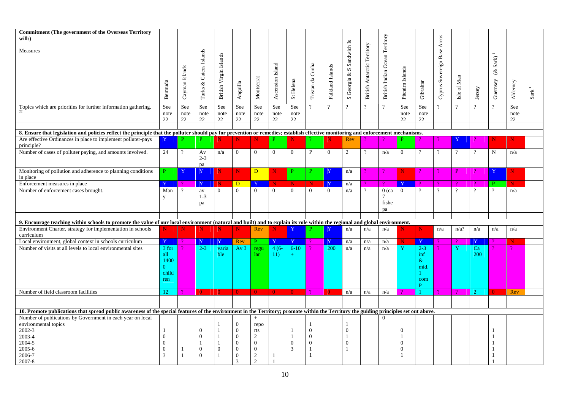| <b>Commitment (The government of the Overseas Territory</b><br>will:)                                                                                                                 |                |                |                  |                        |                 |                |                  |                |                  |                  |                           |                                    |                                |                  |                | Areas                 |                |                |                          |            |      |
|---------------------------------------------------------------------------------------------------------------------------------------------------------------------------------------|----------------|----------------|------------------|------------------------|-----------------|----------------|------------------|----------------|------------------|------------------|---------------------------|------------------------------------|--------------------------------|------------------|----------------|-----------------------|----------------|----------------|--------------------------|------------|------|
| Measures                                                                                                                                                                              |                |                |                  |                        |                 |                |                  |                |                  |                  | S Georgia & S Sandwich Is | <b>British Antarctic Territory</b> | British Indian Ocean Territory |                  |                |                       |                |                | $\overline{\phantom{a}}$ |            |      |
|                                                                                                                                                                                       |                |                | Caicos Islands   | British Virgin Islands |                 |                |                  |                |                  |                  |                           |                                    |                                |                  |                | Cyprus Sovereign Base |                |                | Sark)                    |            |      |
|                                                                                                                                                                                       |                | Cayman Islands |                  |                        |                 |                | Ascension Island |                | Tristan da Cunha | Falkland Islands |                           |                                    |                                |                  |                |                       |                |                | $\mathcal{E}$            |            |      |
|                                                                                                                                                                                       |                |                |                  |                        |                 |                |                  |                |                  |                  |                           |                                    |                                | Pitcairn Islands |                |                       | Isle of Man    |                |                          |            |      |
|                                                                                                                                                                                       | Bernuda        |                | Turks &          |                        | Anguilla        | Montserrat     |                  | St Helena      |                  |                  |                           |                                    |                                |                  | Gibraltar      |                       |                | Jersey         | Guernsey                 | Alderney   |      |
|                                                                                                                                                                                       |                |                |                  |                        |                 |                |                  |                |                  |                  |                           |                                    |                                |                  |                |                       |                |                |                          |            | Sark |
| Topics which are priorities for further information gathering.                                                                                                                        | See            | See            | See              | See                    | See             | See            | See              | See            |                  | $\overline{?}$   | $\gamma$                  | $\gamma$                           | $\overline{?}$                 | See              | See            | $\gamma$              | $\gamma$       | $\gamma$       | $\gamma$                 | See        |      |
|                                                                                                                                                                                       | note<br>22     | note<br>22     | note<br>22       | note<br>22             | note<br>22      | note<br>22     | note<br>22       | note<br>22     |                  |                  |                           |                                    |                                | note<br>22       | note<br>22     |                       |                |                |                          | note<br>22 |      |
|                                                                                                                                                                                       |                |                |                  |                        |                 |                |                  |                |                  |                  |                           |                                    |                                |                  |                |                       |                |                |                          |            |      |
| 8. Ensure that legislation and policies reflect the principle that the polluter should pay for prevention or remedies; establish effective monitoring and enforcement mechanisms.     |                |                |                  |                        |                 |                |                  |                |                  |                  |                           |                                    |                                |                  |                |                       |                |                |                          |            |      |
| Are effective Ordinances in place to implement polluter-pays<br>principle?                                                                                                            | Y              |                |                  |                        |                 | Ν              |                  |                |                  |                  | Rev                       |                                    |                                |                  |                |                       |                |                |                          | Ν          |      |
| Number of cases of polluter paying, and amounts involved.                                                                                                                             | 24             | $\overline{?}$ | Av<br>$2 - 3$    | n/a                    | $\overline{0}$  | $\overline{0}$ | $\mathbf{0}$     | $\overline{0}$ | $\mathbf{P}$     | $\overline{0}$   | 2                         | $\overline{?}$                     | n/a                            | $\overline{0}$   | $\overline{?}$ | $\gamma$              | $\overline{?}$ | $\overline{?}$ | N                        | n/a        |      |
|                                                                                                                                                                                       |                |                | pa               |                        |                 |                |                  |                |                  |                  |                           |                                    |                                |                  |                |                       |                |                |                          |            |      |
| Monitoring of pollution and adherence to planning conditions<br>in place                                                                                                              | P              | Y              | Y                | $\mathbf N$            | $\mathbf N$     | D              | N                | $\mathbf{P}$   | P                | $\mathbf{Y}$     | n/a                       |                                    |                                | $\mathbf N$      |                |                       | P              |                | Y                        | N.         |      |
| Enforcement measures in place                                                                                                                                                         | Y              |                | Y                | N                      | D               | Y              | N                | N              | $\mathbf N$      | $\mathbf{Y}$     | n/a                       |                                    | $\Omega$                       | Y                | $\mathcal{D}$  |                       | $\Omega$       | $\Omega$       | P.                       | N.         |      |
| Number of enforcement cases brought.                                                                                                                                                  | Man            | $\gamma$       | av               | $\Omega$               | $\Omega$        | $\overline{0}$ | $\overline{0}$   | $\overline{0}$ | $\overline{0}$   | $\Omega$         | n/a                       | $\overline{?}$                     | $0$ (ca                        | $\overline{0}$   | $\overline{?}$ | $\gamma$              | $\gamma$       | $\overline{?}$ | $\gamma$                 | n/a        |      |
|                                                                                                                                                                                       | y              |                | $1 - 3$<br>pa    |                        |                 |                |                  |                |                  |                  |                           |                                    | $\tau$<br>fishe                |                  |                |                       |                |                |                          |            |      |
|                                                                                                                                                                                       |                |                |                  |                        |                 |                |                  |                |                  |                  |                           |                                    | pa                             |                  |                |                       |                |                |                          |            |      |
|                                                                                                                                                                                       |                |                |                  |                        |                 |                |                  |                |                  |                  |                           |                                    |                                |                  |                |                       |                |                |                          |            |      |
| 9. Encourage teaching within schools to promote the value of our local environment (natural and built) and to explain its role within the regional and global environment.            |                |                |                  |                        |                 |                |                  |                |                  |                  |                           |                                    |                                |                  |                |                       |                |                |                          |            |      |
| Environment Charter, strategy for implementation in schools<br>curriculum                                                                                                             | N              | N              | N                | N                      |                 | Rev            | N                | Y              |                  | Y                | n/a                       | n/a                                | n/a                            |                  | N              | n/a                   | n/a?           | n/a            | n/a                      | n/a        |      |
| Local environment, global context in schools curriculum                                                                                                                               |                | $\Omega$       | $\mathbf{Y}$     | $\mathbf{Y}$           | <b>Rev</b>      | P.             | Y                | Y              |                  | Y                | n/a                       | n/a                                | n/a                            |                  | $\mathbf{Y}$   |                       |                | Y              |                          | N          |      |
| Number of visits at all levels to local environmental sites                                                                                                                           | 3 for          |                | $2 - 3$          | varia                  | Av <sub>3</sub> | regu           | $4(6-$           | $6 - 10$       |                  | 200              | n/a                       | n/a                                | n/a                            | Y                | $2 - 3$        |                       | Y              | Ca             |                          |            |      |
|                                                                                                                                                                                       | all<br>1400    |                |                  | ble                    |                 | lar            | 11)              | $+$            |                  |                  |                           |                                    |                                |                  | inf<br>&       |                       |                | 200            |                          |            |      |
|                                                                                                                                                                                       | $\theta$       |                |                  |                        |                 |                |                  |                |                  |                  |                           |                                    |                                |                  | mid            |                       |                |                |                          |            |      |
|                                                                                                                                                                                       | child          |                |                  |                        |                 |                |                  |                |                  |                  |                           |                                    |                                |                  |                |                       |                |                |                          |            |      |
|                                                                                                                                                                                       | ren            |                |                  |                        |                 |                |                  |                |                  |                  |                           |                                    |                                |                  | com<br>D       |                       |                |                |                          |            |      |
| Number of field classroom facilities                                                                                                                                                  | 12             |                | $\Omega$         | $\Omega$               | $\Omega$        | $\Omega$       | $\Omega$         | $\Omega$       |                  | $\Omega$         | n/a                       | n/a                                | n/a                            |                  |                |                       |                |                |                          | Rev        |      |
|                                                                                                                                                                                       |                |                |                  |                        |                 |                |                  |                |                  |                  |                           |                                    |                                |                  |                |                       |                |                |                          |            |      |
|                                                                                                                                                                                       |                |                |                  |                        |                 |                |                  |                |                  |                  |                           |                                    |                                |                  |                |                       |                |                |                          |            |      |
| 10. Promote publications that spread public awareness of the special features of the environment in the Territory; promote within the Territory the guiding principles set out above. |                |                |                  |                        |                 |                |                  |                |                  |                  |                           |                                    | $\Omega$                       |                  |                |                       |                |                |                          |            |      |
| Number of publications by Government in each year on local<br>environmental topics                                                                                                    |                |                |                  |                        | $\overline{0}$  |                |                  |                |                  |                  |                           |                                    |                                |                  |                |                       |                |                |                          |            |      |
| 2002-3                                                                                                                                                                                |                |                | $\overline{0}$   | 1                      | $\mathbf{0}$    | repo<br>rts    |                  |                | $\overline{0}$   |                  | $\overline{0}$            |                                    |                                | $\mathbf{0}$     |                |                       |                |                |                          |            |      |
| 2003-4                                                                                                                                                                                | $\overline{0}$ |                | $\overline{0}$   | $\mathbf{1}$           | $\theta$        | $\overline{2}$ |                  | $\mathbf{1}$   | $\mathbf{0}$     |                  |                           |                                    |                                |                  |                |                       |                |                |                          |            |      |
| 2004-5                                                                                                                                                                                | $\Omega$       |                | $\overline{1}$   | $\overline{1}$         | $\Omega$        | $\overline{0}$ |                  | $\theta$       | $\mathbf{0}$     |                  | $\mathbf{0}$              |                                    |                                | $\overline{0}$   |                |                       |                |                |                          |            |      |
| 2005-6                                                                                                                                                                                | $\mathbf{0}$   |                | $\boldsymbol{0}$ | $\mathbf{0}$           | $\theta$        | $\overline{0}$ |                  | 3              | $\mathbf{1}$     |                  |                           |                                    |                                | $\overline{0}$   |                |                       |                |                |                          |            |      |
| 2006-7                                                                                                                                                                                | 3              | $\overline{1}$ | $\overline{0}$   |                        | $\mathbf{0}$    | $\sqrt{2}$     |                  |                | -1               |                  |                           |                                    |                                |                  |                |                       |                |                |                          |            |      |
| 2007-8                                                                                                                                                                                |                |                |                  |                        | $\mathcal{R}$   | $\overline{2}$ |                  |                |                  |                  |                           |                                    |                                |                  |                |                       |                |                |                          |            |      |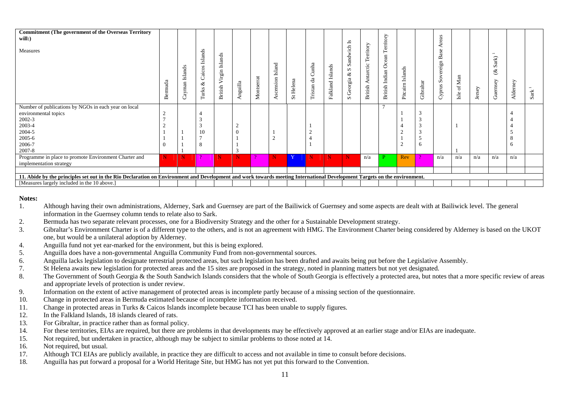| <b>Commitment (The government of the Overseas Territory</b><br>will:<br>Measures                                                                                                                                                 | ದ<br>$\infty$ | Islands<br>ayman<br>Ö | Islands<br>Caicos<br>ళ<br>Turks | Virgin Islands<br>British | Anguilla                                           | Montserrat | Island<br>scension<br>≺ | St Helena | Cunha<br>$\mathbf{d}\mathbf{a}$<br>Tristan | Islands<br>Falkland | $\mathbf{I}$<br>Sandwich<br>S<br>ళ<br>Georgia<br>$\boldsymbol{\omega}$ | erritory<br>۴<br>Antarctic<br>$\dot{\rm{ritish}}$<br>≃ | Territory<br>British Indian Ocean | $\boldsymbol{\mathrm{Islands}}$<br>Pitcairn | Gibraltar     | Areas<br>Base<br>Sovereign<br>Cyprus | Man<br>$\mathfrak{p}$<br>Isle | Jersey | $\overline{\phantom{0}}$<br>Sark<br>প্ত<br>Guernsey | Alderney      | $\rightarrow$<br>$_{\rm Sark}$ |
|----------------------------------------------------------------------------------------------------------------------------------------------------------------------------------------------------------------------------------|---------------|-----------------------|---------------------------------|---------------------------|----------------------------------------------------|------------|-------------------------|-----------|--------------------------------------------|---------------------|------------------------------------------------------------------------|--------------------------------------------------------|-----------------------------------|---------------------------------------------|---------------|--------------------------------------|-------------------------------|--------|-----------------------------------------------------|---------------|--------------------------------|
| Number of publications by NGOs in each year on local<br>environmental topics<br>$2002 - 3$<br>2003-4<br>2004-5<br>2005-6<br>2006-7<br>2007-8<br>Programme in place to promote Environment Charter and<br>implementation strategy | N             | N                     | 10<br>8<br>$\mathcal{D}$        | $\mathbf N$               | $\sim$<br>$\Omega$<br>$\mathcal{R}$<br>$\mathbf N$ | $\Omega$   | ∠<br>$\mathbf N$        | Y         | N                                          | $\mathbf N$         | $\mathbf N$                                                            | n/a                                                    | D.                                | Rev                                         | 6<br>$\Omega$ | n/a                                  | n/a                           | n/a    | n/a                                                 | 8<br>6<br>n/a |                                |
|                                                                                                                                                                                                                                  |               |                       |                                 |                           |                                                    |            |                         |           |                                            |                     |                                                                        |                                                        |                                   |                                             |               |                                      |                               |        |                                                     |               |                                |
| 11. Abide by the principles set out in the Rio Declaration on Environment and Development and work towards meeting International Development Targets on the environment.                                                         |               |                       |                                 |                           |                                                    |            |                         |           |                                            |                     |                                                                        |                                                        |                                   |                                             |               |                                      |                               |        |                                                     |               |                                |
| [Measures largely included in the 10 above.]                                                                                                                                                                                     |               |                       |                                 |                           |                                                    |            |                         |           |                                            |                     |                                                                        |                                                        |                                   |                                             |               |                                      |                               |        |                                                     |               |                                |

#### **Notes:**

- 1. Although having their own administrations, Alderney, Sark and Guernsey are part of the Bailiwick of Guernsey and some aspects are dealt with at Bailiwick level. The general information in the Guernsey column tends to relate also to Sark.
- 2. Bermuda has two separate relevant processes, one for a Biodiversity Strategy and the other for a Sustainable Development strategy.
- 3. Gibraltar's Environment Charter is of a different type to the others, and is not an agreement with HMG. The Environment Charter being considered by Alderney is based on the UKOT one, but would be a unilateral adoption by Alderney.
- 4. Anguilla fund not yet ear-marked for the environment, but this is being explored.
- 5. Anguilla does have a non-governmental Anguilla Community Fund from non-governmental sources.
- 6. Anguilla lacks legislation to designate terrestrial protected areas, but such legislation has been drafted and awaits being put before the Legislative Assembly.
- 7. St Helena awaits new legislation for protected areas and the 15 sites are proposed in the strategy, noted in planning matters but not yet designated.
- 8. The Government of South Georgia & the South Sandwich Islands considers that the whole of South Georgia is effectively a protected area, but notes that a more specific review of areas and appropriate levels of protection is under review.
- 9. Information on the extent of active management of protected areas is incomplete partly because of a missing section of the questionnaire.
- 10. Change in protected areas in Bermuda estimated because of incomplete information received.
- 11. Change in protected areas in Turks & Caicos Islands incomplete because TCI has been unable to supply figures.
- 12. In the Falkland Islands, 18 islands cleared of rats.
- 13. For Gibraltar, in practice rather than as formal policy.
- 14. For these territories, EIAs are required, but there are problems in that developments may be effectively approved at an earlier stage and/or EIAs are inadequate.
- 15. Not required, but undertaken in practice, although may be subject to similar problems to those noted at 14.
- 16. Not required, but usual.
- 17. Although TCI EIAs are publicly available, in practice they are difficult to access and not available in time to consult before decisions.
- 18. Anguilla has put forward a proposal for a World Heritage Site, but HMG has not yet put this forward to the Convention.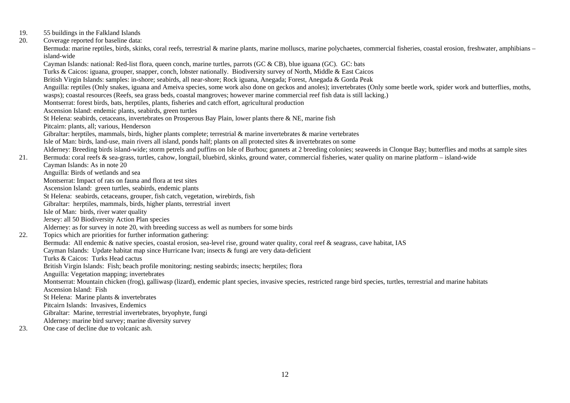- 19. 55 buildings in the Falkland Islands
- 20. Coverage reported for baseline data:

Bermuda: marine reptiles, birds, skinks, coral reefs, terrestrial & marine plants, marine molluscs, marine polychaetes, commercial fisheries, coastal erosion, freshwater, amphibians – island-wide

 Cayman Islands: national: Red-list flora, queen conch, marine turtles, parrots (GC & CB), blue iguana (GC). GC: bats Turks & Caicos: iguana, grouper, snapper, conch, lobster nationally. Biodiversity survey of North, Middle & East Caicos British Virgin Islands: samples: in-shore; seabirds, all near-shore; Rock iguana, Anegada; Forest, Anegada & Gorda Peak Anguilla: reptiles (Only snakes, iguana and Ameiva species, some work also done on geckos and anoles); invertebrates (Only some beetle work, spider work and butterflies, moths, wasps); coastal resources (Reefs, sea grass beds, coastal mangroves; however marine commercial reef fish data is still lacking.) Montserrat: forest birds, bats, herptiles, plants, fisheries and catch effort, agricultural production Ascension Island: endemic plants, seabirds, green turtles St Helena: seabirds, cetaceans, invertebrates on Prosperous Bay Plain, lower plants there & NE, marine fish Pitcairn: plants, all; various, Henderson Gibraltar: herptiles, mammals, birds, higher plants complete; terrestrial  $\&$  marine invertebrates  $\&$  marine vertebrates Isle of Man: birds, land-use, main rivers all island, ponds half; plants on all protected sites & invertebrates on some Alderney: Breeding birds island-wide; storm petrels and puffins on Isle of Burhou; gannets at 2 breeding colonies; seaweeds in Clonque Bay; butterflies and moths at sample sites 21. Bermuda: coral reefs & sea-grass, turtles, cahow, longtail, bluebird, skinks, ground water, commercial fisheries, water quality on marine platform – island-wide Cayman Islands: As in note 20 Anguilla: Birds of wetlands and sea Montserrat: Impact of rats on fauna and flora at test sites Ascension Island: green turtles, seabirds, endemic plants St Helena: seabirds, cetaceans, grouper, fish catch, vegetation, wirebirds, fish Gibraltar: herptiles, mammals, birds, higher plants, terrestrial invert Isle of Man: birds, river water quality Jersey: all 50 Biodiversity Action Plan species Alderney: as for survey in note 20, with breeding success as well as numbers for some birds 22. Topics which are priorities for further information gathering: Bermuda: All endemic & native species, coastal erosion, sea-level rise, ground water quality, coral reef & seagrass, cave habitat, IAS Cayman Islands: Update habitat map since Hurricane Ivan; insects & fungi are very data-deficient Turks & Caicos: Turks Head cactus British Virgin Islands: Fish; beach profile monitoring; nesting seabirds; insects; herptiles; flora Anguilla: Vegetation mapping; invertebrates Montserrat: Mountain chicken (frog), galliwasp (lizard), endemic plant species, invasive species, restricted range bird species, turtles, terrestrial and marine habitats Ascension Island: Fish St Helena: Marine plants & invertebrates Pitcairn Islands: Invasives, Endemics Gibraltar: Marine, terrestrial invertebrates, bryophyte, fungi Alderney: marine bird survey; marine diversity survey 23. One case of decline due to volcanic ash.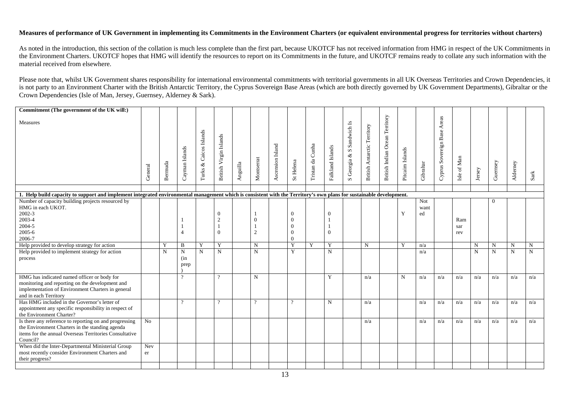### **Measures of performance of UK Government in implementing its Commitments in the Environment Charters (or equivalent environmental progress for territories without charters)**

As noted in the introduction, this section of the collation is much less complete than the first part, because UKOTCF has not received information from HMG in respect of the UK Commitments in the Environment Charters. UKOTCF hopes that HMG will identify the resources to report on its Commitments in the future, and UKOTCF remains ready to collate any such information with the material received from elsewhere.

Please note that, whilst UK Government shares responsibility for international environmental commitments with territorial governments in all UK Overseas Territories and Crown Dependencies, it is not party to an Environment Charter with the British Antarctic Territory, the Cyprus Sovereign Base Areas (which are both directly governed by UK Government Departments), Gibraltar or the Crown Dependencies (Isle of Man, Jersey, Guernsey, Alderney & Sark).

| Commitment (The government of the UK will:)                                                                                                                                     |                |             |                            |                                     |                                              |          |                            |                  |                                                          |                  |                      |                                                  |                                    |                                |                  |                   |                             |                   |             |             |             |             |
|---------------------------------------------------------------------------------------------------------------------------------------------------------------------------------|----------------|-------------|----------------------------|-------------------------------------|----------------------------------------------|----------|----------------------------|------------------|----------------------------------------------------------|------------------|----------------------|--------------------------------------------------|------------------------------------|--------------------------------|------------------|-------------------|-----------------------------|-------------------|-------------|-------------|-------------|-------------|
| Measures                                                                                                                                                                        | General        | Bermuda     | Cayman Islands             | Caicos Islands<br>$\infty$<br>Turks | British Virgin Islands                       | Anguilla | Montserrat                 | Ascension Island | St Helena                                                | Tristan da Cunha | Falkland Islands     | Georgia & S Sandwich Is<br>$\boldsymbol{\omega}$ | <b>British Antarctic Territory</b> | British Indian Ocean Territory | Pitcairn Islands | Gibraltar         | Cyprus Sovereign Base Areas | Isle of Man       | Jersey      | Guernsey    | Alderney    | Sark        |
|                                                                                                                                                                                 |                |             |                            |                                     |                                              |          |                            |                  |                                                          |                  |                      |                                                  |                                    |                                |                  |                   |                             |                   |             |             |             |             |
| 1. Help build capacity to support and implement integrated environmental management which is consistent with the Territory's own plans for sustainable development.             |                |             |                            |                                     |                                              |          |                            |                  |                                                          |                  |                      |                                                  |                                    |                                |                  |                   |                             |                   |             |             |             |             |
| Number of capacity building projects resourced by<br>HMG in each UKOT.<br>$2002 - 3$<br>2003-4<br>2004-5<br>2005-6<br>2006-7                                                    |                |             | $\overline{4}$             |                                     | $\overline{0}$<br>$\overline{2}$<br>$\Omega$ |          | $\Omega$<br>$\overline{2}$ |                  | $\Omega$<br>$\Omega$<br>$\Omega$<br>$\Omega$<br>$\Omega$ |                  | $\Omega$<br>$\Omega$ |                                                  |                                    |                                | Y                | Not<br>want<br>ed |                             | Ram<br>sar<br>rev |             | $\Omega$    |             |             |
| Help provided to develop strategy for action                                                                                                                                    |                | Y           | B                          | Y                                   | Y                                            |          | N                          |                  | Y                                                        | Y                | Y                    |                                                  | $\mathbf N$                        |                                | Y                | n/a               |                             |                   | $\mathbf N$ | N           | $\mathbf N$ | $\mathbf N$ |
| Help provided to implement strategy for action<br>process                                                                                                                       |                | $\mathbf N$ | $\mathbf N$<br>(in<br>prep | $\mathbf N$                         | $\mathbf N$                                  |          | $\mathbf N$                |                  | Y                                                        |                  | $\mathbf N$          |                                                  |                                    |                                |                  | n/a               |                             |                   | $\mathbf N$ | $\mathbf N$ | $\mathbf N$ | $\mathbf N$ |
| HMG has indicated named officer or body for<br>monitoring and reporting on the development and<br>implementation of Environment Charters in general<br>and in each Territory    |                |             | $\Omega$                   |                                     | $\gamma$                                     |          | N                          |                  |                                                          |                  | Y                    |                                                  | n/a                                |                                | $\mathbf N$      | n/a               | n/a                         | n/a               | n/a         | n/a         | n/a         | n/a         |
| Has HMG included in the Governor's letter of<br>appointment any specific responsibility in respect of<br>the Environment Charter?                                               |                |             | $\Omega$                   |                                     | $\gamma$                                     |          | $\Omega$                   |                  | $\Omega$                                                 |                  | N                    |                                                  | n/a                                |                                |                  | n/a               | n/a                         | n/a               | n/a         | n/a         | n/a         | n/a         |
| Is there any reference to reporting on and progressing<br>the Environment Charters in the standing agenda<br>items for the annual Overseas Territories Consultative<br>Council? | N <sub>o</sub> |             |                            |                                     |                                              |          |                            |                  |                                                          |                  |                      |                                                  | n/a                                |                                |                  | n/a               | n/a                         | n/a               | n/a         | n/a         | n/a         | n/a         |
| When did the Inter-Departmental Ministerial Group<br>most recently consider Environment Charters and<br>their progress?                                                         | Nev<br>er      |             |                            |                                     |                                              |          |                            |                  |                                                          |                  |                      |                                                  |                                    |                                |                  |                   |                             |                   |             |             |             |             |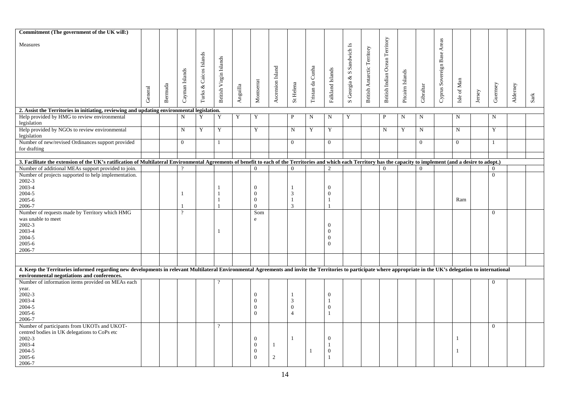| Commitment (The government of the UK will:)                                                                                                                                                                         |         |         |                |                        |                        |                                     |                |                  |                |                  |                  |                           |                                    |                                |                  |              |                             |                |        |              |          |      |
|---------------------------------------------------------------------------------------------------------------------------------------------------------------------------------------------------------------------|---------|---------|----------------|------------------------|------------------------|-------------------------------------|----------------|------------------|----------------|------------------|------------------|---------------------------|------------------------------------|--------------------------------|------------------|--------------|-----------------------------|----------------|--------|--------------|----------|------|
|                                                                                                                                                                                                                     |         |         |                |                        |                        |                                     |                |                  |                |                  |                  |                           |                                    |                                |                  |              |                             |                |        |              |          |      |
| Measures                                                                                                                                                                                                            |         |         |                |                        |                        |                                     |                |                  |                |                  |                  | S Georgia & S Sandwich Is |                                    | British Indian Ocean Territory |                  |              | Cyprus Sovereign Base Areas |                |        |              |          |      |
|                                                                                                                                                                                                                     |         |         |                |                        |                        |                                     |                |                  |                |                  |                  |                           | <b>British Antarctic Territory</b> |                                |                  |              |                             |                |        |              |          |      |
|                                                                                                                                                                                                                     |         |         |                | Turks & Caicos Islands | British Virgin Islands |                                     |                |                  |                |                  |                  |                           |                                    |                                |                  |              |                             |                |        |              |          |      |
|                                                                                                                                                                                                                     |         |         |                |                        |                        |                                     |                |                  |                |                  |                  |                           |                                    |                                |                  |              |                             |                |        |              |          |      |
|                                                                                                                                                                                                                     |         |         |                |                        |                        |                                     |                |                  |                |                  |                  |                           |                                    |                                |                  |              |                             |                |        |              |          |      |
|                                                                                                                                                                                                                     |         |         |                |                        |                        |                                     |                |                  |                |                  |                  |                           |                                    |                                |                  |              |                             |                |        |              |          |      |
|                                                                                                                                                                                                                     |         |         | Cayman Islands |                        |                        |                                     | Montserrat     | Ascension Island | St Helena      | Tristan da Cunha | Falkland Islands |                           |                                    |                                | Pitcairn Islands |              |                             | Isle of Man    |        | Guernsey     |          |      |
|                                                                                                                                                                                                                     |         |         |                |                        |                        |                                     |                |                  |                |                  |                  |                           |                                    |                                |                  |              |                             |                |        |              |          |      |
|                                                                                                                                                                                                                     | General | Bernuda |                |                        |                        | $\bf \qquad \qquad \text{Anguilla}$ |                |                  |                |                  |                  |                           |                                    |                                |                  | Gibraltar    |                             |                | Jersey |              | Alderney | Sark |
|                                                                                                                                                                                                                     |         |         |                |                        |                        |                                     |                |                  |                |                  |                  |                           |                                    |                                |                  |              |                             |                |        |              |          |      |
| 2. Assist the Territories in initiating, reviewing and updating environmental legislation.                                                                                                                          |         |         |                |                        |                        |                                     |                |                  |                |                  |                  |                           |                                    |                                |                  |              |                             |                |        |              |          |      |
| Help provided by HMG to review environmental                                                                                                                                                                        |         |         | $\mathbf N$    | Y                      | Y                      | Y                                   | Y              |                  | $\mathbf P$    | N                | N                | Y                         |                                    | $\mathbf{P}$                   | N                | $\mathbf N$  |                             | N              |        | N            |          |      |
| legislation                                                                                                                                                                                                         |         |         |                |                        |                        |                                     |                |                  |                |                  |                  |                           |                                    |                                |                  |              |                             |                |        |              |          |      |
| Help provided by NGOs to review environmental                                                                                                                                                                       |         |         | $\mathbf N$    | $\mathbf Y$            | Y                      |                                     | Y              |                  | ${\bf N}$      | Y                | $\mathbf Y$      |                           |                                    | ${\bf N}$                      | Y                | $\mathbf N$  |                             | $\mathbf N$    |        | Y            |          |      |
| legislation                                                                                                                                                                                                         |         |         |                |                        |                        |                                     |                |                  |                |                  |                  |                           |                                    |                                |                  |              |                             |                |        |              |          |      |
| Number of new/revised Ordinances support provided                                                                                                                                                                   |         |         | $\mathbf{0}$   |                        | $\mathbf{1}$           |                                     |                |                  | $\overline{0}$ |                  | $\overline{0}$   |                           |                                    |                                |                  | $\mathbf{0}$ |                             | $\overline{0}$ |        | $\mathbf{1}$ |          |      |
| for drafting                                                                                                                                                                                                        |         |         |                |                        |                        |                                     |                |                  |                |                  |                  |                           |                                    |                                |                  |              |                             |                |        |              |          |      |
|                                                                                                                                                                                                                     |         |         |                |                        |                        |                                     |                |                  |                |                  |                  |                           |                                    |                                |                  |              |                             |                |        |              |          |      |
|                                                                                                                                                                                                                     |         |         |                |                        |                        |                                     |                |                  |                |                  |                  |                           |                                    |                                |                  |              |                             |                |        |              |          |      |
| 3. Facilitate the extension of the UK's ratification of Multilateral Environmental Agreements of benefit to each of the Territories and which each Territory has the capacity to implement (and a desire to adopt.) |         |         |                |                        |                        |                                     |                |                  |                |                  |                  |                           |                                    |                                |                  |              |                             |                |        |              |          |      |
| Number of additional MEAs support provided to join.                                                                                                                                                                 |         |         |                |                        |                        |                                     | $\Omega$       |                  | $\Omega$       |                  | 2                |                           |                                    | $\Omega$                       |                  | $\Omega$     |                             |                |        | $\Omega$     |          |      |
| Number of projects supported to help implementation.                                                                                                                                                                |         |         |                |                        |                        |                                     |                |                  |                |                  |                  |                           |                                    |                                |                  |              |                             |                |        | $\Omega$     |          |      |
| $2002 - 3$                                                                                                                                                                                                          |         |         |                |                        |                        |                                     |                |                  |                |                  |                  |                           |                                    |                                |                  |              |                             |                |        |              |          |      |
| 2003-4                                                                                                                                                                                                              |         |         |                |                        | $\mathbf{1}$           |                                     | $\theta$       |                  | $\mathbf{1}$   |                  | $\overline{0}$   |                           |                                    |                                |                  |              |                             |                |        |              |          |      |
| 2004-5                                                                                                                                                                                                              |         |         |                |                        | $\overline{1}$         |                                     | $\mathbf{0}$   |                  | 3              |                  | $\overline{0}$   |                           |                                    |                                |                  |              |                             |                |        |              |          |      |
| 2005-6                                                                                                                                                                                                              |         |         |                |                        | $\overline{1}$         |                                     | $\mathbf{0}$   |                  | $\mathbf{1}$   |                  | $\mathbf{1}$     |                           |                                    |                                |                  |              |                             | Ram            |        |              |          |      |
| 2006-7                                                                                                                                                                                                              |         |         |                |                        | $\mathbf{1}$           |                                     | $\Omega$       |                  | 3              |                  | $\mathbf{1}$     |                           |                                    |                                |                  |              |                             |                |        |              |          |      |
| Number of requests made by Territory which HMG                                                                                                                                                                      |         |         | $\gamma$       |                        |                        |                                     | Som            |                  |                |                  |                  |                           |                                    |                                |                  |              |                             |                |        | $\Omega$     |          |      |
| was unable to meet                                                                                                                                                                                                  |         |         |                |                        |                        |                                     | e              |                  |                |                  |                  |                           |                                    |                                |                  |              |                             |                |        |              |          |      |
| 2002-3                                                                                                                                                                                                              |         |         |                |                        |                        |                                     |                |                  |                |                  | $\overline{0}$   |                           |                                    |                                |                  |              |                             |                |        |              |          |      |
| 2003-4                                                                                                                                                                                                              |         |         |                |                        | $\mathbf{1}$           |                                     |                |                  |                |                  | $\Omega$         |                           |                                    |                                |                  |              |                             |                |        |              |          |      |
| 2004-5                                                                                                                                                                                                              |         |         |                |                        |                        |                                     |                |                  |                |                  | $\Omega$         |                           |                                    |                                |                  |              |                             |                |        |              |          |      |
| 2005-6                                                                                                                                                                                                              |         |         |                |                        |                        |                                     |                |                  |                |                  | $\overline{0}$   |                           |                                    |                                |                  |              |                             |                |        |              |          |      |
| 2006-7                                                                                                                                                                                                              |         |         |                |                        |                        |                                     |                |                  |                |                  |                  |                           |                                    |                                |                  |              |                             |                |        |              |          |      |
|                                                                                                                                                                                                                     |         |         |                |                        |                        |                                     |                |                  |                |                  |                  |                           |                                    |                                |                  |              |                             |                |        |              |          |      |
|                                                                                                                                                                                                                     |         |         |                |                        |                        |                                     |                |                  |                |                  |                  |                           |                                    |                                |                  |              |                             |                |        |              |          |      |
| 4. Keep the Territories informed regarding new developments in relevant Multilateral Environmental Agreements and invite the Territories to participate where appropriate in the UK's delegation to international   |         |         |                |                        |                        |                                     |                |                  |                |                  |                  |                           |                                    |                                |                  |              |                             |                |        |              |          |      |
| environmental negotiations and conferences.                                                                                                                                                                         |         |         |                |                        |                        |                                     |                |                  |                |                  |                  |                           |                                    |                                |                  |              |                             |                |        |              |          |      |
| Number of information items provided on MEAs each                                                                                                                                                                   |         |         |                |                        |                        |                                     |                |                  |                |                  |                  |                           |                                    |                                |                  |              |                             |                |        | $\Omega$     |          |      |
| year.                                                                                                                                                                                                               |         |         |                |                        |                        |                                     |                |                  |                |                  |                  |                           |                                    |                                |                  |              |                             |                |        |              |          |      |
| 2002-3                                                                                                                                                                                                              |         |         |                |                        |                        |                                     | $\overline{0}$ |                  | -1             |                  | $\overline{0}$   |                           |                                    |                                |                  |              |                             |                |        |              |          |      |
| 2003-4                                                                                                                                                                                                              |         |         |                |                        |                        |                                     | $\theta$       |                  | 3              |                  | $\mathbf{1}$     |                           |                                    |                                |                  |              |                             |                |        |              |          |      |
| 2004-5                                                                                                                                                                                                              |         |         |                |                        |                        |                                     | $\Omega$       |                  | $\theta$       |                  | $\overline{0}$   |                           |                                    |                                |                  |              |                             |                |        |              |          |      |
| 2005-6                                                                                                                                                                                                              |         |         |                |                        |                        |                                     | $\theta$       |                  | $\overline{4}$ |                  | $\mathbf{1}$     |                           |                                    |                                |                  |              |                             |                |        |              |          |      |
| 2006-7                                                                                                                                                                                                              |         |         |                |                        |                        |                                     |                |                  |                |                  |                  |                           |                                    |                                |                  |              |                             |                |        |              |          |      |
| Number of participants from UKOTs and UKOT-                                                                                                                                                                         |         |         |                |                        | $\gamma$               |                                     |                |                  |                |                  |                  |                           |                                    |                                |                  |              |                             |                |        | $\mathbf{0}$ |          |      |
| centred bodies in UK delegations to CoPs etc                                                                                                                                                                        |         |         |                |                        |                        |                                     |                |                  |                |                  |                  |                           |                                    |                                |                  |              |                             |                |        |              |          |      |
| 2002-3                                                                                                                                                                                                              |         |         |                |                        |                        |                                     | $\theta$       |                  | $\mathbf{1}$   |                  | $\Omega$         |                           |                                    |                                |                  |              |                             | 1              |        |              |          |      |
| 2003-4                                                                                                                                                                                                              |         |         |                |                        |                        |                                     | $\theta$       | 1                |                |                  | $\mathbf{1}$     |                           |                                    |                                |                  |              |                             |                |        |              |          |      |
| 2004-5                                                                                                                                                                                                              |         |         |                |                        |                        |                                     | $\theta$       |                  |                | $\overline{1}$   | $\Omega$         |                           |                                    |                                |                  |              |                             | 1              |        |              |          |      |
| 2005-6                                                                                                                                                                                                              |         |         |                |                        |                        |                                     | $\Omega$       | 2                |                |                  | $\mathbf{1}$     |                           |                                    |                                |                  |              |                             |                |        |              |          |      |
| 2006-7                                                                                                                                                                                                              |         |         |                |                        |                        |                                     |                |                  |                |                  |                  |                           |                                    |                                |                  |              |                             |                |        |              |          |      |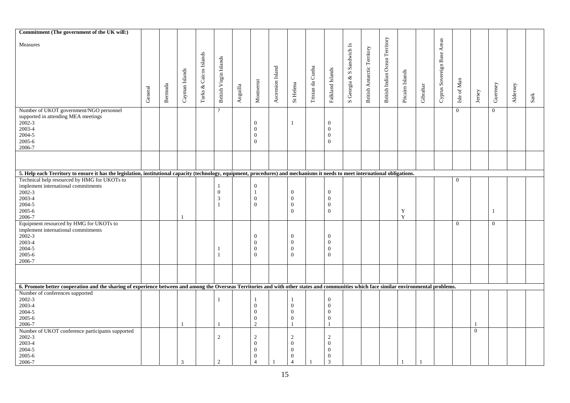| Commitment (The government of the UK will:)                                                                                                                                             |         |         |                |                        |                              |          |                                  |                  |                              |                  |                                |                           |                             |                                |                  |           |                             |                |          |                |          |               |
|-----------------------------------------------------------------------------------------------------------------------------------------------------------------------------------------|---------|---------|----------------|------------------------|------------------------------|----------|----------------------------------|------------------|------------------------------|------------------|--------------------------------|---------------------------|-----------------------------|--------------------------------|------------------|-----------|-----------------------------|----------------|----------|----------------|----------|---------------|
|                                                                                                                                                                                         |         |         |                |                        |                              |          |                                  |                  |                              |                  |                                |                           |                             |                                |                  |           |                             |                |          |                |          |               |
| Measures                                                                                                                                                                                |         |         |                |                        |                              |          |                                  |                  |                              |                  |                                |                           |                             | British Indian Ocean Territory |                  |           | Cyprus Sovereign Base Areas |                |          |                |          |               |
|                                                                                                                                                                                         |         |         |                |                        |                              |          |                                  |                  |                              |                  |                                | S Georgia & S Sandwich Is | British Antarctic Territory |                                |                  |           |                             |                |          |                |          |               |
|                                                                                                                                                                                         |         |         |                | Turks & Caicos Islands |                              |          |                                  |                  |                              |                  |                                |                           |                             |                                |                  |           |                             |                |          |                |          |               |
|                                                                                                                                                                                         |         |         |                |                        | British Virgin Islands       |          |                                  |                  |                              |                  |                                |                           |                             |                                |                  |           |                             |                |          |                |          |               |
|                                                                                                                                                                                         |         |         |                |                        |                              |          |                                  |                  |                              |                  |                                |                           |                             |                                |                  |           |                             |                |          |                |          |               |
|                                                                                                                                                                                         |         |         |                |                        |                              |          |                                  |                  |                              |                  |                                |                           |                             |                                |                  |           |                             |                |          |                |          |               |
|                                                                                                                                                                                         |         |         |                |                        |                              |          |                                  |                  |                              |                  |                                |                           |                             |                                |                  |           |                             |                |          |                |          |               |
|                                                                                                                                                                                         |         |         |                |                        |                              |          |                                  |                  |                              |                  |                                |                           |                             |                                |                  |           |                             |                |          |                |          |               |
|                                                                                                                                                                                         |         |         | Cayman Islands |                        |                              |          | Montserrat                       | Ascension Island |                              |                  | Falkland Islands               |                           |                             |                                | Pitcairn Islands |           |                             | Isle of Man    |          |                |          |               |
|                                                                                                                                                                                         | General | Bernuda |                |                        |                              | Anguilla |                                  |                  | St Helena                    | Tristan da Cunha |                                |                           |                             |                                |                  | Gibraltar |                             |                | Jersey   | Guernsey       | Alderney | $_{\rm Sark}$ |
|                                                                                                                                                                                         |         |         |                |                        |                              |          |                                  |                  |                              |                  |                                |                           |                             |                                |                  |           |                             |                |          |                |          |               |
| Number of UKOT government/NGO personnel                                                                                                                                                 |         |         |                |                        | $\overline{?}$               |          |                                  |                  |                              |                  |                                |                           |                             |                                |                  |           |                             | $\overline{0}$ |          | $\mathbf{0}$   |          |               |
| supported in attending MEA meetings                                                                                                                                                     |         |         |                |                        |                              |          |                                  |                  |                              |                  |                                |                           |                             |                                |                  |           |                             |                |          |                |          |               |
| 2002-3                                                                                                                                                                                  |         |         |                |                        |                              |          | $\overline{0}$                   |                  | $\mathbf{1}$                 |                  | $\overline{0}$                 |                           |                             |                                |                  |           |                             |                |          |                |          |               |
| 2003-4                                                                                                                                                                                  |         |         |                |                        |                              |          | $\overline{0}$                   |                  |                              |                  | $\overline{0}$                 |                           |                             |                                |                  |           |                             |                |          |                |          |               |
| 2004-5                                                                                                                                                                                  |         |         |                |                        |                              |          | $\overline{0}$                   |                  |                              |                  | $\mathbf{0}$                   |                           |                             |                                |                  |           |                             |                |          |                |          |               |
| 2005-6                                                                                                                                                                                  |         |         |                |                        |                              |          | $\overline{0}$                   |                  |                              |                  | $\overline{0}$                 |                           |                             |                                |                  |           |                             |                |          |                |          |               |
| 2006-7                                                                                                                                                                                  |         |         |                |                        |                              |          |                                  |                  |                              |                  |                                |                           |                             |                                |                  |           |                             |                |          |                |          |               |
|                                                                                                                                                                                         |         |         |                |                        |                              |          |                                  |                  |                              |                  |                                |                           |                             |                                |                  |           |                             |                |          |                |          |               |
|                                                                                                                                                                                         |         |         |                |                        |                              |          |                                  |                  |                              |                  |                                |                           |                             |                                |                  |           |                             |                |          |                |          |               |
| 5. Help each Territory to ensure it has the legislation, institutional capacity (technology, equipment, procedures) and mechanisms it needs to meet international obligations.          |         |         |                |                        |                              |          |                                  |                  |                              |                  |                                |                           |                             |                                |                  |           |                             |                |          |                |          |               |
| Technical help resourced by HMG for UKOTs to                                                                                                                                            |         |         |                |                        |                              |          |                                  |                  |                              |                  |                                |                           |                             |                                |                  |           |                             | $\overline{0}$ |          |                |          |               |
| implement international commitments                                                                                                                                                     |         |         |                |                        | $\mathbf{1}$                 |          | $\overline{0}$                   |                  |                              |                  |                                |                           |                             |                                |                  |           |                             |                |          |                |          |               |
| 2002-3                                                                                                                                                                                  |         |         |                |                        | $\overline{0}$               |          | $\mathbf{1}$                     |                  | $\overline{0}$               |                  | $\overline{0}$                 |                           |                             |                                |                  |           |                             |                |          |                |          |               |
| 2003-4                                                                                                                                                                                  |         |         |                |                        |                              |          |                                  |                  |                              |                  | $\overline{0}$                 |                           |                             |                                |                  |           |                             |                |          |                |          |               |
| 2004-5                                                                                                                                                                                  |         |         |                |                        | $\mathbf{3}$<br>$\mathbf{1}$ |          | $\overline{0}$<br>$\overline{0}$ |                  | $\mathbf{0}$<br>$\mathbf{0}$ |                  |                                |                           |                             |                                |                  |           |                             |                |          |                |          |               |
|                                                                                                                                                                                         |         |         |                |                        |                              |          |                                  |                  | $\theta$                     |                  | $\mathbf{0}$<br>$\overline{0}$ |                           |                             |                                |                  |           |                             |                |          |                |          |               |
| 2005-6                                                                                                                                                                                  |         |         |                |                        |                              |          |                                  |                  |                              |                  |                                |                           |                             |                                | Y<br>Y           |           |                             |                |          | $\mathbf{1}$   |          |               |
| 2006-7                                                                                                                                                                                  |         |         |                |                        |                              |          |                                  |                  |                              |                  |                                |                           |                             |                                |                  |           |                             |                |          |                |          |               |
| Equipment resourced by HMG for UKOTs to                                                                                                                                                 |         |         |                |                        |                              |          |                                  |                  |                              |                  |                                |                           |                             |                                |                  |           |                             | $\overline{0}$ |          | $\overline{0}$ |          |               |
| implement international commitments                                                                                                                                                     |         |         |                |                        |                              |          |                                  |                  |                              |                  |                                |                           |                             |                                |                  |           |                             |                |          |                |          |               |
| $2002 - 3$                                                                                                                                                                              |         |         |                |                        |                              |          | $\overline{0}$                   |                  | $\mathbf{0}$                 |                  | $\overline{0}$                 |                           |                             |                                |                  |           |                             |                |          |                |          |               |
| 2003-4                                                                                                                                                                                  |         |         |                |                        |                              |          | $\overline{0}$                   |                  | $\mathbf{0}$                 |                  | $\theta$                       |                           |                             |                                |                  |           |                             |                |          |                |          |               |
| 2004-5                                                                                                                                                                                  |         |         |                |                        | 1                            |          | $\overline{0}$                   |                  | $\mathbf{0}$                 |                  | $\overline{0}$                 |                           |                             |                                |                  |           |                             |                |          |                |          |               |
| 2005-6                                                                                                                                                                                  |         |         |                |                        | $\mathbf{1}$                 |          | $\overline{0}$                   |                  | $\theta$                     |                  | $\theta$                       |                           |                             |                                |                  |           |                             |                |          |                |          |               |
| 2006-7                                                                                                                                                                                  |         |         |                |                        |                              |          |                                  |                  |                              |                  |                                |                           |                             |                                |                  |           |                             |                |          |                |          |               |
|                                                                                                                                                                                         |         |         |                |                        |                              |          |                                  |                  |                              |                  |                                |                           |                             |                                |                  |           |                             |                |          |                |          |               |
|                                                                                                                                                                                         |         |         |                |                        |                              |          |                                  |                  |                              |                  |                                |                           |                             |                                |                  |           |                             |                |          |                |          |               |
| 6. Promote better cooperation and the sharing of experience between and among the Overseas Territories and with other states and communities which face similar environmental problems. |         |         |                |                        |                              |          |                                  |                  |                              |                  |                                |                           |                             |                                |                  |           |                             |                |          |                |          |               |
| Number of conferences supported                                                                                                                                                         |         |         |                |                        |                              |          |                                  |                  |                              |                  |                                |                           |                             |                                |                  |           |                             |                |          |                |          |               |
| $2002 - 3$                                                                                                                                                                              |         |         |                |                        | $\mathbf{1}$                 |          |                                  |                  | $\mathbf{1}$                 |                  | $\overline{0}$                 |                           |                             |                                |                  |           |                             |                |          |                |          |               |
| 2003-4                                                                                                                                                                                  |         |         |                |                        |                              |          | $\overline{0}$                   |                  | $\overline{0}$               |                  | $\overline{0}$                 |                           |                             |                                |                  |           |                             |                |          |                |          |               |
| 2004-5                                                                                                                                                                                  |         |         |                |                        |                              |          | $\mathbf{0}$                     |                  | $\mathbf{0}$                 |                  | $\overline{0}$                 |                           |                             |                                |                  |           |                             |                |          |                |          |               |
| 2005-6                                                                                                                                                                                  |         |         |                |                        |                              |          | $\overline{0}$                   |                  | $\mathbf{0}$                 |                  | $\overline{0}$                 |                           |                             |                                |                  |           |                             |                |          |                |          |               |
| 2006-7                                                                                                                                                                                  |         |         | $\overline{1}$ |                        |                              |          | $\overline{2}$                   |                  | $\mathbf{1}$                 |                  |                                |                           |                             |                                |                  |           |                             |                |          |                |          |               |
|                                                                                                                                                                                         |         |         |                |                        |                              |          |                                  |                  |                              |                  |                                |                           |                             |                                |                  |           |                             |                |          |                |          |               |
| Number of UKOT conference participants supported                                                                                                                                        |         |         |                |                        |                              |          |                                  |                  |                              |                  |                                |                           |                             |                                |                  |           |                             |                | $\Omega$ |                |          |               |
| 2002-3                                                                                                                                                                                  |         |         |                |                        | 2                            |          | $\overline{c}$                   |                  | 2                            |                  | 2                              |                           |                             |                                |                  |           |                             |                |          |                |          |               |
| 2003-4                                                                                                                                                                                  |         |         |                |                        |                              |          | $\overline{0}$                   |                  | $\mathbf{0}$                 |                  | $\overline{0}$                 |                           |                             |                                |                  |           |                             |                |          |                |          |               |
| 2004-5                                                                                                                                                                                  |         |         |                |                        |                              |          | $\Omega$                         |                  | $\boldsymbol{0}$             |                  | $\mathbf{0}$                   |                           |                             |                                |                  |           |                             |                |          |                |          |               |
| 2005-6                                                                                                                                                                                  |         |         |                |                        |                              |          | $\overline{0}$                   |                  | $\boldsymbol{0}$             |                  | $\mathbf{0}$                   |                           |                             |                                |                  |           |                             |                |          |                |          |               |
| 2006-7                                                                                                                                                                                  |         |         | 3              |                        | 2                            |          | $\overline{4}$                   |                  | $\overline{4}$               |                  | 3                              |                           |                             |                                | $\overline{1}$   |           |                             |                |          |                |          |               |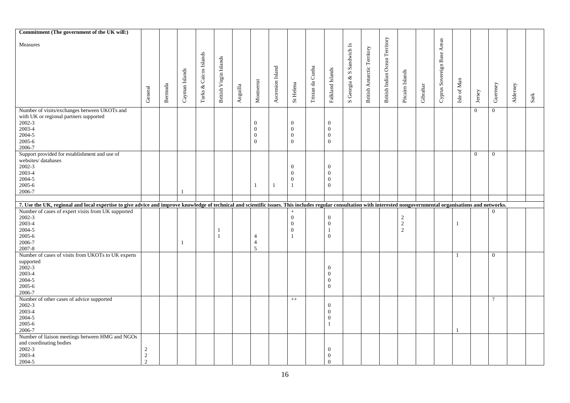| Commitment (The government of the UK will:)                                                                                                                                                                         |                                 |         |                |                  |                        |                                        |                |                  |                  |                  |                          |                           |                             |                                |                  |           |                             |                |                |                |          |                                                                                                              |
|---------------------------------------------------------------------------------------------------------------------------------------------------------------------------------------------------------------------|---------------------------------|---------|----------------|------------------|------------------------|----------------------------------------|----------------|------------------|------------------|------------------|--------------------------|---------------------------|-----------------------------|--------------------------------|------------------|-----------|-----------------------------|----------------|----------------|----------------|----------|--------------------------------------------------------------------------------------------------------------|
|                                                                                                                                                                                                                     |                                 |         |                |                  |                        |                                        |                |                  |                  |                  |                          |                           |                             |                                |                  |           |                             |                |                |                |          |                                                                                                              |
| Measures                                                                                                                                                                                                            |                                 |         |                |                  |                        |                                        |                |                  |                  |                  |                          |                           |                             | British Indian Ocean Territory |                  |           | Cyprus Sovereign Base Areas |                |                |                |          |                                                                                                              |
|                                                                                                                                                                                                                     |                                 |         |                |                  |                        |                                        |                |                  |                  |                  |                          | S Georgia & S Sandwich Is | British Antarctic Territory |                                |                  |           |                             |                |                |                |          |                                                                                                              |
|                                                                                                                                                                                                                     |                                 |         |                | & Caicos Islands |                        |                                        |                |                  |                  |                  |                          |                           |                             |                                |                  |           |                             |                |                |                |          |                                                                                                              |
|                                                                                                                                                                                                                     |                                 |         |                |                  |                        |                                        |                |                  |                  |                  |                          |                           |                             |                                |                  |           |                             |                |                |                |          |                                                                                                              |
|                                                                                                                                                                                                                     |                                 |         |                |                  |                        |                                        |                |                  |                  |                  |                          |                           |                             |                                |                  |           |                             |                |                |                |          |                                                                                                              |
|                                                                                                                                                                                                                     |                                 |         |                |                  |                        |                                        |                |                  |                  |                  |                          |                           |                             |                                |                  |           |                             |                |                |                |          |                                                                                                              |
|                                                                                                                                                                                                                     |                                 |         | Cayman Islands |                  | British Virgin Islands |                                        |                | Ascension Island |                  |                  | Falkland Islands         |                           |                             |                                | Pitcairn Islands |           |                             | Isle of Man    |                |                |          |                                                                                                              |
|                                                                                                                                                                                                                     |                                 |         |                |                  |                        |                                        | Montserrat     |                  |                  |                  |                          |                           |                             |                                |                  |           |                             |                |                |                |          |                                                                                                              |
|                                                                                                                                                                                                                     |                                 |         |                |                  |                        |                                        |                |                  |                  |                  |                          |                           |                             |                                |                  |           |                             |                |                |                |          |                                                                                                              |
|                                                                                                                                                                                                                     | General                         | Bernuda |                | ${\rm Turks}$    |                        | $\label{eq:amplitude} \text{Anguilla}$ |                |                  | St Helena        | Tristan da Cunha |                          |                           |                             |                                |                  | Gibraltar |                             |                | Jersey         | Guernsey       | Alderney | $\operatorname*{Sark}% \nolimits_{\mathbb{Z}}\left( \mathbb{Z}^{\Sigma\left( 1\right) }\right) ^{\otimes n}$ |
|                                                                                                                                                                                                                     |                                 |         |                |                  |                        |                                        |                |                  |                  |                  |                          |                           |                             |                                |                  |           |                             |                |                |                |          |                                                                                                              |
| Number of visits/exchanges between UKOTs and                                                                                                                                                                        |                                 |         |                |                  |                        |                                        |                |                  |                  |                  |                          |                           |                             |                                |                  |           |                             |                | $\overline{0}$ | $\overline{0}$ |          |                                                                                                              |
| with UK or regional partners supported                                                                                                                                                                              |                                 |         |                |                  |                        |                                        |                |                  |                  |                  |                          |                           |                             |                                |                  |           |                             |                |                |                |          |                                                                                                              |
| 2002-3                                                                                                                                                                                                              |                                 |         |                |                  |                        |                                        | $\overline{0}$ |                  | $\mathbf{0}$     |                  | $\overline{0}$           |                           |                             |                                |                  |           |                             |                |                |                |          |                                                                                                              |
| 2003-4                                                                                                                                                                                                              |                                 |         |                |                  |                        |                                        | $\theta$       |                  | $\mathbf{0}$     |                  | $\theta$                 |                           |                             |                                |                  |           |                             |                |                |                |          |                                                                                                              |
| 2004-5                                                                                                                                                                                                              |                                 |         |                |                  |                        |                                        | $\overline{0}$ |                  | $\mathbf{0}$     |                  | $\mathbf{0}$             |                           |                             |                                |                  |           |                             |                |                |                |          |                                                                                                              |
| 2005-6                                                                                                                                                                                                              |                                 |         |                |                  |                        |                                        | $\overline{0}$ |                  | $\overline{0}$   |                  | $\overline{0}$           |                           |                             |                                |                  |           |                             |                |                |                |          |                                                                                                              |
| 2006-7                                                                                                                                                                                                              |                                 |         |                |                  |                        |                                        |                |                  |                  |                  |                          |                           |                             |                                |                  |           |                             |                |                |                |          |                                                                                                              |
| Support provided for establishment and use of                                                                                                                                                                       |                                 |         |                |                  |                        |                                        |                |                  |                  |                  |                          |                           |                             |                                |                  |           |                             |                | $\overline{0}$ | $\overline{0}$ |          |                                                                                                              |
| websites/databases                                                                                                                                                                                                  |                                 |         |                |                  |                        |                                        |                |                  |                  |                  |                          |                           |                             |                                |                  |           |                             |                |                |                |          |                                                                                                              |
| 2002-3                                                                                                                                                                                                              |                                 |         |                |                  |                        |                                        |                |                  | $\mathbf{0}$     |                  | $\theta$                 |                           |                             |                                |                  |           |                             |                |                |                |          |                                                                                                              |
| 2003-4                                                                                                                                                                                                              |                                 |         |                |                  |                        |                                        |                |                  | $\theta$         |                  | $\overline{0}$           |                           |                             |                                |                  |           |                             |                |                |                |          |                                                                                                              |
| 2004-5                                                                                                                                                                                                              |                                 |         |                |                  |                        |                                        |                |                  | $\boldsymbol{0}$ |                  | $\mathbf{0}$             |                           |                             |                                |                  |           |                             |                |                |                |          |                                                                                                              |
| 2005-6                                                                                                                                                                                                              |                                 |         |                |                  |                        |                                        | 1              | $\mathbf{1}$     | $\mathbf{1}$     |                  | $\mathbf{0}$             |                           |                             |                                |                  |           |                             |                |                |                |          |                                                                                                              |
| 2006-7                                                                                                                                                                                                              |                                 |         |                |                  |                        |                                        |                |                  |                  |                  |                          |                           |                             |                                |                  |           |                             |                |                |                |          |                                                                                                              |
|                                                                                                                                                                                                                     |                                 |         |                |                  |                        |                                        |                |                  |                  |                  |                          |                           |                             |                                |                  |           |                             |                |                |                |          |                                                                                                              |
|                                                                                                                                                                                                                     |                                 |         |                |                  |                        |                                        |                |                  |                  |                  |                          |                           |                             |                                |                  |           |                             |                |                |                |          |                                                                                                              |
|                                                                                                                                                                                                                     |                                 |         |                |                  |                        |                                        |                |                  |                  |                  |                          |                           |                             |                                |                  |           |                             |                |                |                |          |                                                                                                              |
| 7. Use the UK, regional and local expertise to give advice and improve knowledge of technical and scientific issues. This includes regular consultation with interested nongovernmental organisations and networks. |                                 |         |                |                  |                        |                                        |                |                  | $+$              |                  |                          |                           |                             |                                |                  |           |                             |                |                |                |          |                                                                                                              |
| Number of cases of expert visits from UK supported                                                                                                                                                                  |                                 |         |                |                  |                        |                                        |                |                  |                  |                  |                          |                           |                             |                                |                  |           |                             |                |                |                |          |                                                                                                              |
| 2002-3                                                                                                                                                                                                              |                                 |         |                |                  |                        |                                        |                |                  | $\mathbf{0}$     |                  | $\overline{0}$           |                           |                             |                                |                  |           |                             |                |                |                |          |                                                                                                              |
| 2003-4                                                                                                                                                                                                              |                                 |         |                |                  |                        |                                        |                |                  | $\theta$         |                  | $\overline{0}$           |                           |                             |                                | $\frac{2}{2}$    |           |                             | -1             |                |                |          |                                                                                                              |
| 2004-5                                                                                                                                                                                                              |                                 |         |                |                  | 1                      |                                        |                |                  | $\mathbf{0}$     |                  | $\overline{1}$           |                           |                             |                                | $\overline{2}$   |           |                             |                |                |                |          |                                                                                                              |
| 2005-6                                                                                                                                                                                                              |                                 |         |                |                  | $\mathbf{1}$           |                                        | $\overline{4}$ |                  | $\overline{1}$   |                  | $\overline{0}$           |                           |                             |                                |                  |           |                             |                |                |                |          |                                                                                                              |
| 2006-7                                                                                                                                                                                                              |                                 |         | $\mathbf{1}$   |                  |                        |                                        | $\overline{4}$ |                  |                  |                  |                          |                           |                             |                                |                  |           |                             |                |                |                |          |                                                                                                              |
| 2007-8                                                                                                                                                                                                              |                                 |         |                |                  |                        |                                        | $\overline{5}$ |                  |                  |                  |                          |                           |                             |                                |                  |           |                             |                |                |                |          |                                                                                                              |
| Number of cases of visits from UKOTs to UK experts                                                                                                                                                                  |                                 |         |                |                  |                        |                                        |                |                  |                  |                  |                          |                           |                             |                                |                  |           |                             | $\overline{1}$ |                | $\overline{0}$ |          |                                                                                                              |
| supported                                                                                                                                                                                                           |                                 |         |                |                  |                        |                                        |                |                  |                  |                  |                          |                           |                             |                                |                  |           |                             |                |                |                |          |                                                                                                              |
| $2002-3$                                                                                                                                                                                                            |                                 |         |                |                  |                        |                                        |                |                  |                  |                  | $\theta$                 |                           |                             |                                |                  |           |                             |                |                |                |          |                                                                                                              |
| 2003-4                                                                                                                                                                                                              |                                 |         |                |                  |                        |                                        |                |                  |                  |                  | $\theta$                 |                           |                             |                                |                  |           |                             |                |                |                |          |                                                                                                              |
| 2004-5                                                                                                                                                                                                              |                                 |         |                |                  |                        |                                        |                |                  |                  |                  | $\mathbf{0}$             |                           |                             |                                |                  |           |                             |                |                |                |          |                                                                                                              |
| 2005-6                                                                                                                                                                                                              |                                 |         |                |                  |                        |                                        |                |                  |                  |                  | $\overline{0}$           |                           |                             |                                |                  |           |                             |                |                |                |          |                                                                                                              |
| 2006-7                                                                                                                                                                                                              |                                 |         |                |                  |                        |                                        |                |                  |                  |                  |                          |                           |                             |                                |                  |           |                             |                |                |                |          |                                                                                                              |
| Number of other cases of advice supported                                                                                                                                                                           |                                 |         |                |                  |                        |                                        |                |                  | $++$             |                  |                          |                           |                             |                                |                  |           |                             |                |                | $\gamma$       |          |                                                                                                              |
| 2002-3                                                                                                                                                                                                              |                                 |         |                |                  |                        |                                        |                |                  |                  |                  | $\overline{0}$           |                           |                             |                                |                  |           |                             |                |                |                |          |                                                                                                              |
| 2003-4                                                                                                                                                                                                              |                                 |         |                |                  |                        |                                        |                |                  |                  |                  | $\mathbf{0}$             |                           |                             |                                |                  |           |                             |                |                |                |          |                                                                                                              |
| 2004-5                                                                                                                                                                                                              |                                 |         |                |                  |                        |                                        |                |                  |                  |                  | $\mathbf{0}$             |                           |                             |                                |                  |           |                             |                |                |                |          |                                                                                                              |
| 2005-6                                                                                                                                                                                                              |                                 |         |                |                  |                        |                                        |                |                  |                  |                  | $\overline{1}$           |                           |                             |                                |                  |           |                             |                |                |                |          |                                                                                                              |
| 2006-7                                                                                                                                                                                                              |                                 |         |                |                  |                        |                                        |                |                  |                  |                  |                          |                           |                             |                                |                  |           |                             |                |                |                |          |                                                                                                              |
|                                                                                                                                                                                                                     |                                 |         |                |                  |                        |                                        |                |                  |                  |                  |                          |                           |                             |                                |                  |           |                             |                |                |                |          |                                                                                                              |
| Number of liaison meetings between HMG and NGOs                                                                                                                                                                     |                                 |         |                |                  |                        |                                        |                |                  |                  |                  |                          |                           |                             |                                |                  |           |                             |                |                |                |          |                                                                                                              |
| and coordinating bodies                                                                                                                                                                                             |                                 |         |                |                  |                        |                                        |                |                  |                  |                  |                          |                           |                             |                                |                  |           |                             |                |                |                |          |                                                                                                              |
| 2002-3                                                                                                                                                                                                              | 2                               |         |                |                  |                        |                                        |                |                  |                  |                  | $\theta$                 |                           |                             |                                |                  |           |                             |                |                |                |          |                                                                                                              |
| 2003-4<br>2004-5                                                                                                                                                                                                    | $\overline{2}$<br>$\mathcal{L}$ |         |                |                  |                        |                                        |                |                  |                  |                  | $\mathbf{0}$<br>$\Omega$ |                           |                             |                                |                  |           |                             |                |                |                |          |                                                                                                              |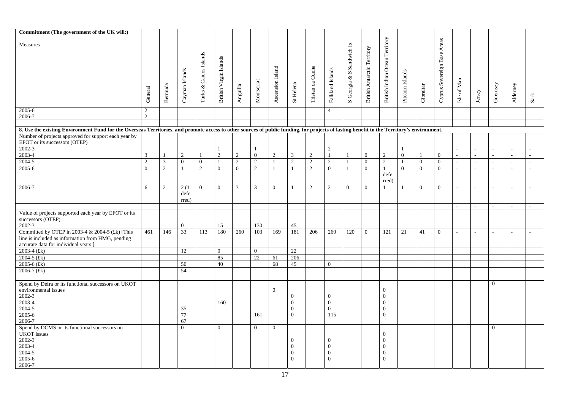| Commitment (The government of the UK will:)                                                                                                                                               |                     |         |                       |                        |                        |                         |                |                  |                                                              |                  |                                                 |                           |                             |                                                                                  |                  |                |                                |                |              |          |                |              |
|-------------------------------------------------------------------------------------------------------------------------------------------------------------------------------------------|---------------------|---------|-----------------------|------------------------|------------------------|-------------------------|----------------|------------------|--------------------------------------------------------------|------------------|-------------------------------------------------|---------------------------|-----------------------------|----------------------------------------------------------------------------------|------------------|----------------|--------------------------------|----------------|--------------|----------|----------------|--------------|
| Measures                                                                                                                                                                                  | General             | Bernuda | Cayman Islands        | Turks & Caicos Islands | British Virgin Islands | $\bf \textbf{Anguilla}$ | Montserrat     | Ascension Island | St Helena                                                    | Tristan da Cunha | Falkland Islands                                | S Georgia & S Sandwich Is | British Antarctic Territory | British Indian Ocean Territory                                                   | Pitcairn Islands | Gibraltar      | Areas<br>Cyprus Sovereign Base | Isle of Man    | Jersey       | Guernsey | Alderney       |              |
|                                                                                                                                                                                           |                     |         |                       |                        |                        |                         |                |                  |                                                              |                  |                                                 |                           |                             |                                                                                  |                  |                |                                |                |              |          |                | ${\rm Sark}$ |
| 2005-6<br>2006-7                                                                                                                                                                          | 2<br>$\overline{2}$ |         |                       |                        |                        |                         |                |                  |                                                              |                  | $\overline{4}$                                  |                           |                             |                                                                                  |                  |                |                                |                |              |          |                |              |
| 8. Use the existing Environment Fund for the Overseas Territories, and promote access to other sources of public funding, for projects of lasting benefit to the Territory's environment. |                     |         |                       |                        |                        |                         |                |                  |                                                              |                  |                                                 |                           |                             |                                                                                  |                  |                |                                |                |              |          |                |              |
| Number of projects approved for support each year by<br>EFOT or its successors (OTEP)<br>2002-3                                                                                           |                     |         |                       |                        |                        |                         |                |                  |                                                              |                  | 2                                               |                           |                             |                                                                                  |                  |                |                                |                |              |          |                |              |
| 2003-4                                                                                                                                                                                    | 3                   |         | $\overline{2}$        |                        | $\overline{2}$         | 2                       | $\overline{0}$ | $\sqrt{2}$       | 3                                                            | 2                | $\mathbf{1}$                                    |                           | $\overline{0}$              | $\overline{c}$                                                                   | $\mathbf{0}$     | $\overline{1}$ | $\overline{0}$                 |                | $\sim$       |          | $\overline{a}$ |              |
| 2004-5                                                                                                                                                                                    | $\overline{2}$      | 3       | $\Omega$              | $\mathbf{0}$           |                        | 2                       | $\overline{2}$ |                  | $\sqrt{2}$                                                   | $\overline{c}$   | 2                                               |                           | $\Omega$                    | $\sqrt{2}$                                                                       |                  | $\Omega$       | $\mathbf{0}$                   |                |              |          |                |              |
| 2005-6                                                                                                                                                                                    | $\Omega$            | 2       | $\mathbf{1}$          | $\overline{2}$         | $\overline{0}$         | $\theta$                | $\overline{2}$ | $\mathbf{1}$     | $\mathbf{1}$                                                 | 2                | $\mathbf{0}$                                    | 1                         | $\overline{0}$              | $\mathbf{1}$<br>defe<br>rred)                                                    | $\Omega$         | $\Omega$       | $\overline{0}$                 |                |              |          |                |              |
| 2006-7                                                                                                                                                                                    | 6                   | 2       | 2(1)<br>defe<br>rred) | $\overline{0}$         | $\Omega$               | $\overline{3}$          | 3              | $\overline{0}$   | $\overline{1}$                                               | 2                | 2                                               | $\overline{0}$            | $\overline{0}$              | 1                                                                                | $\overline{1}$   | $\Omega$       | $\overline{0}$                 | ÷.             | $\sim$       | $\sim$   | $\sim$         | $\sim$       |
|                                                                                                                                                                                           |                     |         |                       |                        |                        |                         |                |                  |                                                              |                  |                                                 |                           |                             |                                                                                  |                  |                |                                | $\overline{a}$ | $\mathbf{r}$ | $\sim$   | $\overline{a}$ |              |
| Value of projects supported each year by EFOT or its<br>successors (OTEP)<br>2002-3                                                                                                       |                     |         | $\Omega$              |                        | 15                     |                         | 130            |                  | 45                                                           |                  |                                                 |                           |                             |                                                                                  |                  |                |                                |                |              |          |                |              |
| Committed by OTEP in 2003-4 & 2004-5 (£k) [This<br>line is included as information from HMG, pending<br>accurate data for individual years.]                                              | 461                 | 146     | $\overline{33}$       | 113                    | 180                    | 260                     | 103            | 169              | 181                                                          | 206              | 260                                             | 120                       | $\overline{0}$              | 121                                                                              | 21               | 41             | $\overline{0}$                 |                |              |          |                |              |
| $2003-4$ (£k)                                                                                                                                                                             |                     |         | 12                    |                        | $\bf{0}$               |                         | $\overline{0}$ |                  | 22                                                           |                  |                                                 |                           |                             |                                                                                  |                  |                |                                |                |              |          |                |              |
| 2004-5 $(kk)$                                                                                                                                                                             |                     |         |                       |                        | 85                     |                         | 22             | 61               | 206                                                          |                  |                                                 |                           |                             |                                                                                  |                  |                |                                |                |              |          |                |              |
| 2005-6 $(kk)$                                                                                                                                                                             |                     |         | 50                    |                        | 40                     |                         |                | 68               | 45                                                           |                  | $\Omega$                                        |                           |                             |                                                                                  |                  |                |                                |                |              |          |                |              |
| 2006-7 $(kk)$                                                                                                                                                                             |                     |         | 54                    |                        |                        |                         |                |                  |                                                              |                  |                                                 |                           |                             |                                                                                  |                  |                |                                |                |              |          |                |              |
|                                                                                                                                                                                           |                     |         |                       |                        |                        |                         |                |                  |                                                              |                  |                                                 |                           |                             |                                                                                  |                  |                |                                |                |              |          |                |              |
| Spend by Defra or its functional successors on UKOT<br>environmental issues<br>2002-3<br>2003-4<br>2004-5<br>2005-6<br>2006-7                                                             |                     |         | 35<br>$77\,$<br>67    |                        | 160                    |                         | 161            | $\Omega$         | $\mathbf{0}$<br>$\mathbf{0}$<br>$\mathbf{0}$<br>$\mathbf{0}$ |                  | $\theta$<br>$\mathbf{0}$<br>$\mathbf{0}$<br>115 |                           |                             | $\theta$<br>$\mathbf{0}$<br>$\mathbf{0}$<br>$\boldsymbol{0}$<br>$\boldsymbol{0}$ |                  |                |                                |                |              | $\theta$ |                |              |
| Spend by DCMS or its functional successors on<br><b>UKOT</b> issues<br>$2002 - 3$<br>2003-4<br>2004-5<br>2005-6<br>2006-7                                                                 |                     |         | $\mathbf{0}$          |                        | $\overline{0}$         |                         | $\overline{0}$ | $\overline{0}$   | $\mathbf{0}$<br>$\Omega$<br>$\mathbf{0}$<br>$\Omega$         |                  | $\Omega$<br>$\Omega$<br>$\Omega$<br>$\Omega$    |                           |                             | $\mathbf{0}$<br>$\boldsymbol{0}$<br>$\boldsymbol{0}$<br>$\mathbf{0}$<br>$\theta$ |                  |                |                                |                |              | $\theta$ |                |              |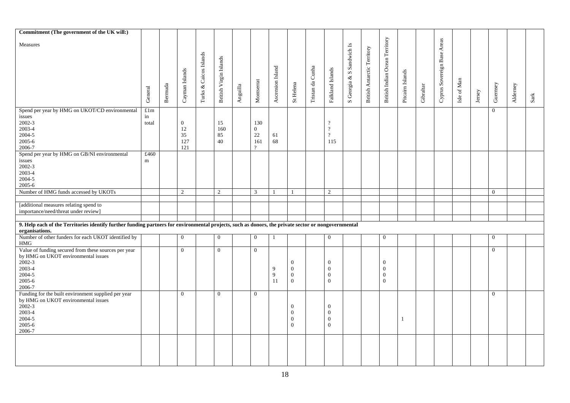| Commitment (The government of the UK will:)                                                                                                                           |         |         |                |                        |                        |          |                |                  |              |                  |                  |                           |                             |                                |                  |           |                             |             |        |                |          |               |
|-----------------------------------------------------------------------------------------------------------------------------------------------------------------------|---------|---------|----------------|------------------------|------------------------|----------|----------------|------------------|--------------|------------------|------------------|---------------------------|-----------------------------|--------------------------------|------------------|-----------|-----------------------------|-------------|--------|----------------|----------|---------------|
| Measures                                                                                                                                                              |         |         |                |                        |                        |          |                |                  |              |                  |                  |                           |                             | British Indian Ocean Territory |                  |           | Cyprus Sovereign Base Areas |             |        |                |          |               |
|                                                                                                                                                                       |         |         |                | Turks & Caicos Islands |                        |          |                |                  |              |                  |                  | S Georgia & S Sandwich Is | British Antarctic Territory |                                |                  |           |                             |             |        |                |          |               |
|                                                                                                                                                                       |         |         |                |                        |                        |          |                |                  |              |                  |                  |                           |                             |                                |                  |           |                             |             |        |                |          |               |
|                                                                                                                                                                       |         |         |                |                        |                        |          |                |                  |              |                  |                  |                           |                             |                                |                  |           |                             |             |        |                |          |               |
|                                                                                                                                                                       | General | Bernuda | Cayman Islands |                        | British Virgin Islands | Anguilla | Montserrat     | Ascension Island | St Helena    | Tristan da Cunha | Falkland Islands |                           |                             |                                | Pitcairn Islands | Gibraltar |                             | Isle of Man | Jersey | Guernsey       | Alderney | $_{\rm Sark}$ |
| Spend per year by HMG on UKOT/CD environmental                                                                                                                        | £1m     |         |                |                        |                        |          |                |                  |              |                  |                  |                           |                             |                                |                  |           |                             |             |        | $\mathbf{0}$   |          |               |
| issues                                                                                                                                                                | in      |         |                |                        |                        |          |                |                  |              |                  |                  |                           |                             |                                |                  |           |                             |             |        |                |          |               |
| 2002-3                                                                                                                                                                | total   |         | $\mathbf{0}$   |                        | 15                     |          | 130            |                  |              |                  | $\gamma$         |                           |                             |                                |                  |           |                             |             |        |                |          |               |
| 2003-4                                                                                                                                                                |         |         | 12             |                        | 160                    |          | $\overline{0}$ |                  |              |                  | $\gamma$         |                           |                             |                                |                  |           |                             |             |        |                |          |               |
| 2004-5                                                                                                                                                                |         |         | 35             |                        | 85                     |          | $22\,$         | 61               |              |                  | $\gamma$         |                           |                             |                                |                  |           |                             |             |        |                |          |               |
| 2005-6                                                                                                                                                                |         |         | 127            |                        | 40                     |          | 161            | 68               |              |                  | 115              |                           |                             |                                |                  |           |                             |             |        |                |          |               |
| 2006-7                                                                                                                                                                |         |         | 121            |                        |                        |          | 9              |                  |              |                  |                  |                           |                             |                                |                  |           |                             |             |        |                |          |               |
| Spend per year by HMG on GB/NI environmental                                                                                                                          | £460    |         |                |                        |                        |          |                |                  |              |                  |                  |                           |                             |                                |                  |           |                             |             |        |                |          |               |
| issues                                                                                                                                                                | m       |         |                |                        |                        |          |                |                  |              |                  |                  |                           |                             |                                |                  |           |                             |             |        |                |          |               |
| 2002-3                                                                                                                                                                |         |         |                |                        |                        |          |                |                  |              |                  |                  |                           |                             |                                |                  |           |                             |             |        |                |          |               |
| 2003-4                                                                                                                                                                |         |         |                |                        |                        |          |                |                  |              |                  |                  |                           |                             |                                |                  |           |                             |             |        |                |          |               |
| 2004-5                                                                                                                                                                |         |         |                |                        |                        |          |                |                  |              |                  |                  |                           |                             |                                |                  |           |                             |             |        |                |          |               |
| 2005-6                                                                                                                                                                |         |         |                |                        |                        |          |                |                  |              |                  |                  |                           |                             |                                |                  |           |                             |             |        |                |          |               |
| Number of HMG funds accessed by UKOTs                                                                                                                                 |         |         | $\overline{2}$ |                        | 2                      |          | 3              | $\mathbf{1}$     |              |                  | 2                |                           |                             |                                |                  |           |                             |             |        | $\overline{0}$ |          |               |
| [additional measures relating spend to                                                                                                                                |         |         |                |                        |                        |          |                |                  |              |                  |                  |                           |                             |                                |                  |           |                             |             |        |                |          |               |
| importance/need/threat under review]                                                                                                                                  |         |         |                |                        |                        |          |                |                  |              |                  |                  |                           |                             |                                |                  |           |                             |             |        |                |          |               |
|                                                                                                                                                                       |         |         |                |                        |                        |          |                |                  |              |                  |                  |                           |                             |                                |                  |           |                             |             |        |                |          |               |
| 9. Help each of the Territories identify further funding partners for environmental projects, such as donors, the private sector or nongovernmental<br>organisations. |         |         |                |                        |                        |          |                |                  |              |                  |                  |                           |                             |                                |                  |           |                             |             |        |                |          |               |
| Number of other funders for each UKOT identified by<br><b>HMG</b>                                                                                                     |         |         | $\mathbf{0}$   |                        | $\mathbf{0}$           |          | $\overline{0}$ | 1                |              |                  | $\overline{0}$   |                           |                             | $\mathbf{0}$                   |                  |           |                             |             |        | $\overline{0}$ |          |               |
| Value of funding secured from these sources per year<br>by HMG on UKOT environmental issues                                                                           |         |         | $\theta$       |                        | $\Omega$               |          | $\overline{0}$ |                  |              |                  |                  |                           |                             |                                |                  |           |                             |             |        | $\mathbf{0}$   |          |               |
| $2002 - 3$                                                                                                                                                            |         |         |                |                        |                        |          |                |                  | $\mathbf{0}$ |                  | $\theta$         |                           |                             | $\mathbf{0}$                   |                  |           |                             |             |        |                |          |               |
| 2003-4                                                                                                                                                                |         |         |                |                        |                        |          |                | 9                | $\theta$     |                  | $\theta$         |                           |                             | $\theta$                       |                  |           |                             |             |        |                |          |               |
| 2004-5                                                                                                                                                                |         |         |                |                        |                        |          |                | 9                | $\mathbf{0}$ |                  | $\mathbf{0}$     |                           |                             | $\boldsymbol{0}$               |                  |           |                             |             |        |                |          |               |
| 2005-6                                                                                                                                                                |         |         |                |                        |                        |          |                | 11               | $\mathbf{0}$ |                  | $\overline{0}$   |                           |                             | $\boldsymbol{0}$               |                  |           |                             |             |        |                |          |               |
| 2006-7                                                                                                                                                                |         |         |                |                        |                        |          |                |                  |              |                  |                  |                           |                             |                                |                  |           |                             |             |        |                |          |               |
| Funding for the built environment supplied per year                                                                                                                   |         |         | $\overline{0}$ |                        | $\overline{0}$         |          | $\overline{0}$ |                  |              |                  |                  |                           |                             |                                |                  |           |                             |             |        | $\overline{0}$ |          |               |
| by HMG on UKOT environmental issues                                                                                                                                   |         |         |                |                        |                        |          |                |                  |              |                  |                  |                           |                             |                                |                  |           |                             |             |        |                |          |               |
| $2002 - 3$                                                                                                                                                            |         |         |                |                        |                        |          |                |                  | $\theta$     |                  | $\mathbf{0}$     |                           |                             |                                |                  |           |                             |             |        |                |          |               |
| 2003-4                                                                                                                                                                |         |         |                |                        |                        |          |                |                  | $\Omega$     |                  | $\Omega$         |                           |                             |                                |                  |           |                             |             |        |                |          |               |
| 2004-5                                                                                                                                                                |         |         |                |                        |                        |          |                |                  | $\mathbf{0}$ |                  | $\mathbf{0}$     |                           |                             |                                | 1                |           |                             |             |        |                |          |               |
| $2005 - 6$                                                                                                                                                            |         |         |                |                        |                        |          |                |                  | $\theta$     |                  | $\theta$         |                           |                             |                                |                  |           |                             |             |        |                |          |               |
| 2006-7                                                                                                                                                                |         |         |                |                        |                        |          |                |                  |              |                  |                  |                           |                             |                                |                  |           |                             |             |        |                |          |               |
|                                                                                                                                                                       |         |         |                |                        |                        |          |                |                  |              |                  |                  |                           |                             |                                |                  |           |                             |             |        |                |          |               |
|                                                                                                                                                                       |         |         |                |                        |                        |          |                |                  |              |                  |                  |                           |                             |                                |                  |           |                             |             |        |                |          |               |
|                                                                                                                                                                       |         |         |                |                        |                        |          |                |                  |              |                  |                  |                           |                             |                                |                  |           |                             |             |        |                |          |               |
|                                                                                                                                                                       |         |         |                |                        |                        |          |                |                  |              |                  |                  |                           |                             |                                |                  |           |                             |             |        |                |          |               |